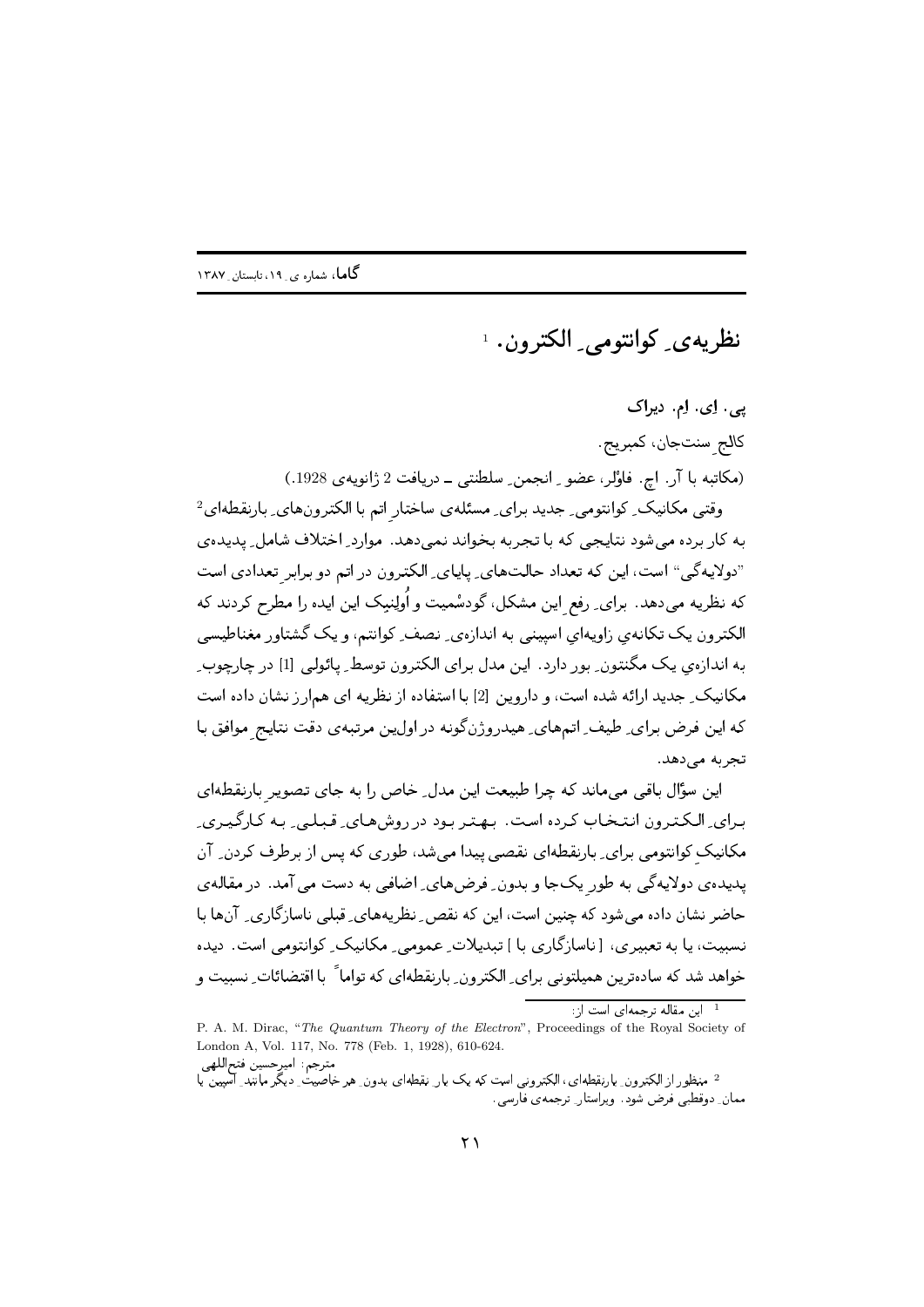نظریهی کوانتومبی الکترون. ۱

پی. اِی. اِم. دیراک كالج سنتجان، كمبريج. (مکاتبه با آر. اچ. فاوُلر، عضو ِ انجمن ِ سلطنتی ِ دریافت 2 ژانویهی 1928.) وقتبی مکانیک ِ کوانتومی ِ جدید برای ِ مسئله ی ساختار اتم با الکترونهای ِ بارنقطهای<sup>2</sup> به کار برده می شود نتایجی که با تجربه بخواند نمی دهد. موارد ِ اختلاف شامل ِ پدیدهی "دولايهگي" است، اين كه تعداد حالتهاي ِ پاياي ِ الكترون در اتم دو برابر تعدادي است که نظریه می،دهد. برای ِ رفع این مشکل، گودسْمیت و اُولِنبک این ایده را مطرح کردند که الکترون یک تکانهی زاویهای اسپینی به اندازهی ِ نصف ِ کوانتم، و یک گشتاور مغناطیسی به اندازهي يک مگنتون ِ بور دارد. اين مدل براي الکترون توسط ِ پائولي [1] در چارچوب ِ مکانیک ِ جدید ارائه شده است، و داروین [2] با استفاده از نظریه ای همارز نشان داده است که این فرض برای ِ طیف ِ اتمهای ِ هیدروژنگونه دراولین مرتبهی دقت نتایج موافق با تجریه مے دهد.

این سؤّال باقی می،ماند که چرا طبیعت این مدل ِ خاص را به جای تصویر بارنقطهای برای ِ الکترون انتخاب کرده است. بهتر بود در روشهای ِ قبلهی ِ به کارگیری ِ مکانیک کوانتومی برای ِ بارنقطهای نقصی پیدا میشد، طوری که پس از برطرف کردن ِ آن پدیدهی دولایهگی به طور یکجا و بدون ِ فرضهای ِ اضافی به دست می آمد. در مقالهی حاضر نشان داده می شود که چنین است، این که نقص ِ ِ نظریههای ِ قبلی ناسازگاری ِ آنها با نسبیت، یا به تعبیری، [ناسازگاری با ] تبدیلات ِ عمومی ِ مکانیک ِ کوانتومی است. دیده خواهد شد که سادهترین همیلتونی برای ِ الکترون ِ بارنقطهای که تواما ً با اقتضائات ِ نسبیت و

مترجم: اميرحسين فتحاللهي <sup>2</sup> منظور از الکترون ِ بارنقطه ای، الکترونی است که یک بار ِ نقطه ای بدون ِ هر خاصیت ِ دیگر مانند ِ آسیین پا ممان ِ دوقطبی فرض شود. ویراستار ِ ترجمهی فارسی.

<sup>1 -</sup> این مقاله ترجمهای است از:

P. A. M. Dirac, "The Quantum Theory of the Electron", Proceedings of the Royal Society of London A, Vol. 117, No. 778 (Feb. 1, 1928), 610-624.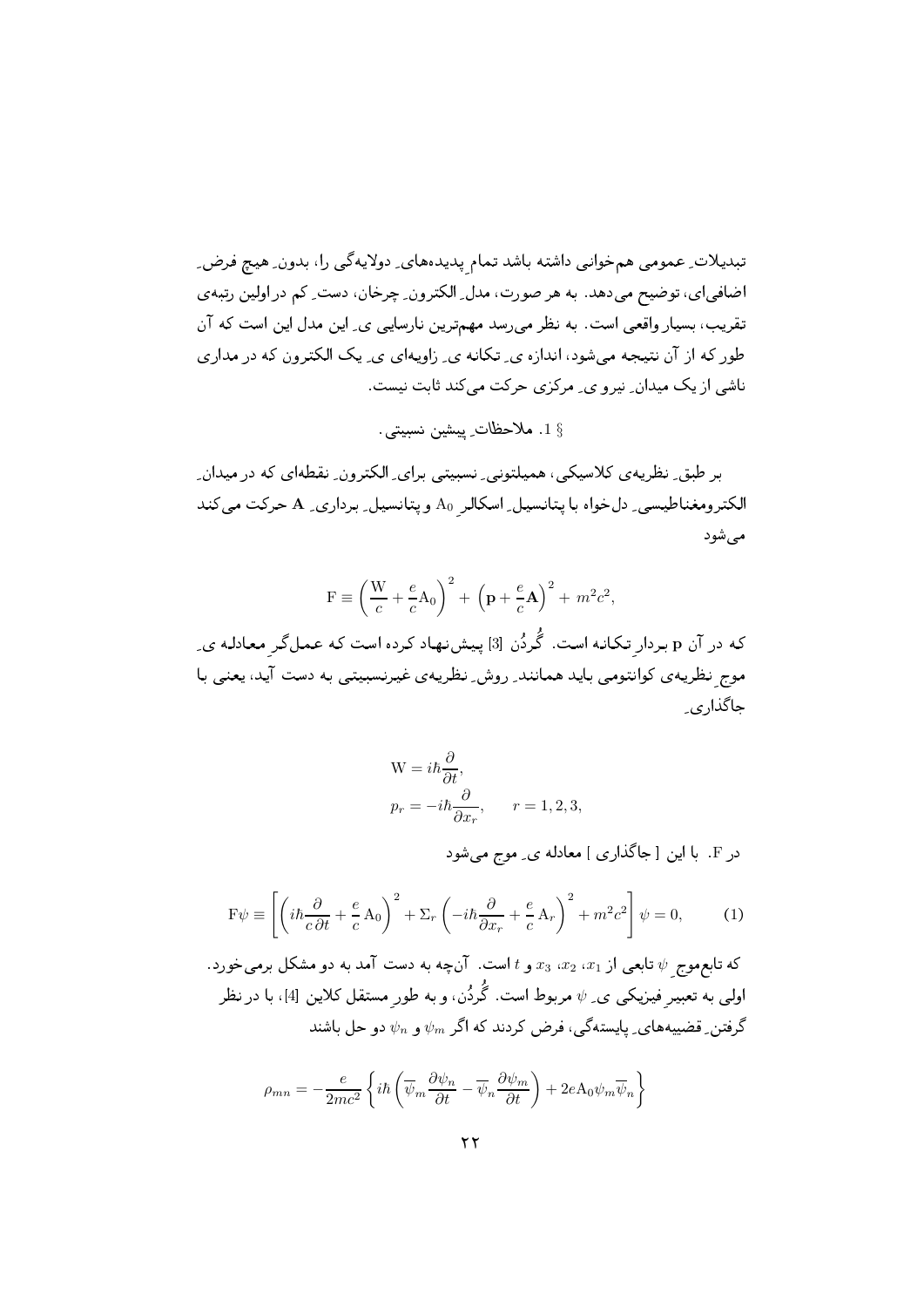تبدیلات ِ عمومی همخوانی داشته باشد تمام پدیدههای ِ دولایهگی را، بدون ِ هیچ فرض ِ اضافیای، توضیح میدهد. به هر صورت، مدل ِ الکترون ِ چرخان، دست ِ کم در اولین رتبهی تقریب، بسیار واقعی است. به نظر می رسد مهمترین نارسایی ی ِ این مدل این است که آن طور که از آن نتیجه میشود، اندازه ی ِ تکانه ی ِ زاویهای ی ِ یک الکترون که در مداری ناشی از یک میدان ِ نیر و ی ِ مرکزی حرکت می کند ثابت نیست.

\$ 1. ملاحظات ِ پيشين نسبيتي.

بر طبق ِ نظریه ی کلاسیکی، همیلتونی ِ نسبیتی برای ِ الکترون ِ نقطهای که در میدان ِ الکترومغناطیسی ِ دل خواه با پتانسیل ِ اسکالر A<sub>0</sub> ویتانسیل ِ برداری ِ A حرکت می کند مے شود

$$
F \equiv \left(\frac{W}{c} + \frac{e}{c}A_0\right)^2 + \left(p + \frac{e}{c}A\right)^2 + m^2c^2,
$$

که در آن p بردار تکانه است. گَردُن [3] پیشنهاد کرده است که عملگر معادله ی ِ موج نظریه ی کوانتومی باید همانند ِ روش ِ نظریه ی غیرنسبیتی به دست آید، یعنی با جاگذا<sub>ر ی</sub>

$$
W = i\hbar \frac{\partial}{\partial t},
$$
  
\n
$$
p_r = -i\hbar \frac{\partial}{\partial x_r}, \qquad r = 1, 2, 3,
$$

در F. با این [جاگذاری ] معادله ی ِ موج میشود

$$
\mathbf{F}\psi \equiv \left[ \left( i\hbar \frac{\partial}{c\,\partial t} + \frac{e}{c} \,\mathbf{A}_0 \right)^2 + \Sigma_r \left( -i\hbar \frac{\partial}{\partial x_r} + \frac{e}{c} \,\mathbf{A}_r \right)^2 + m^2 c^2 \right] \psi = 0,\tag{1}
$$

که تابع موج  $\psi$  تابعی از  $x_1$ ،  $x_2$ ،  $x_3$  و  $t$ است. آنچه به دست آمد به دو مشکل برمی خورد. اولی به تعبیر فیزیکی ی ِ  $\psi$  مربوط است. گُردُن، و به طور مستقل کلاین [4]، با در نظر گرفتن ِ قضییههای ِ پایستهگی، فرض کردند که اگر  $\psi_m$  و  $\psi_n$  دو حل باشند

$$
\rho_{mn} = -\frac{e}{2mc^2} \left\{ i\hbar \left( \overline{\psi}_m \frac{\partial \psi_n}{\partial t} - \overline{\psi}_n \frac{\partial \psi_m}{\partial t} \right) + 2eA_0 \psi_m \overline{\psi}_n \right\}
$$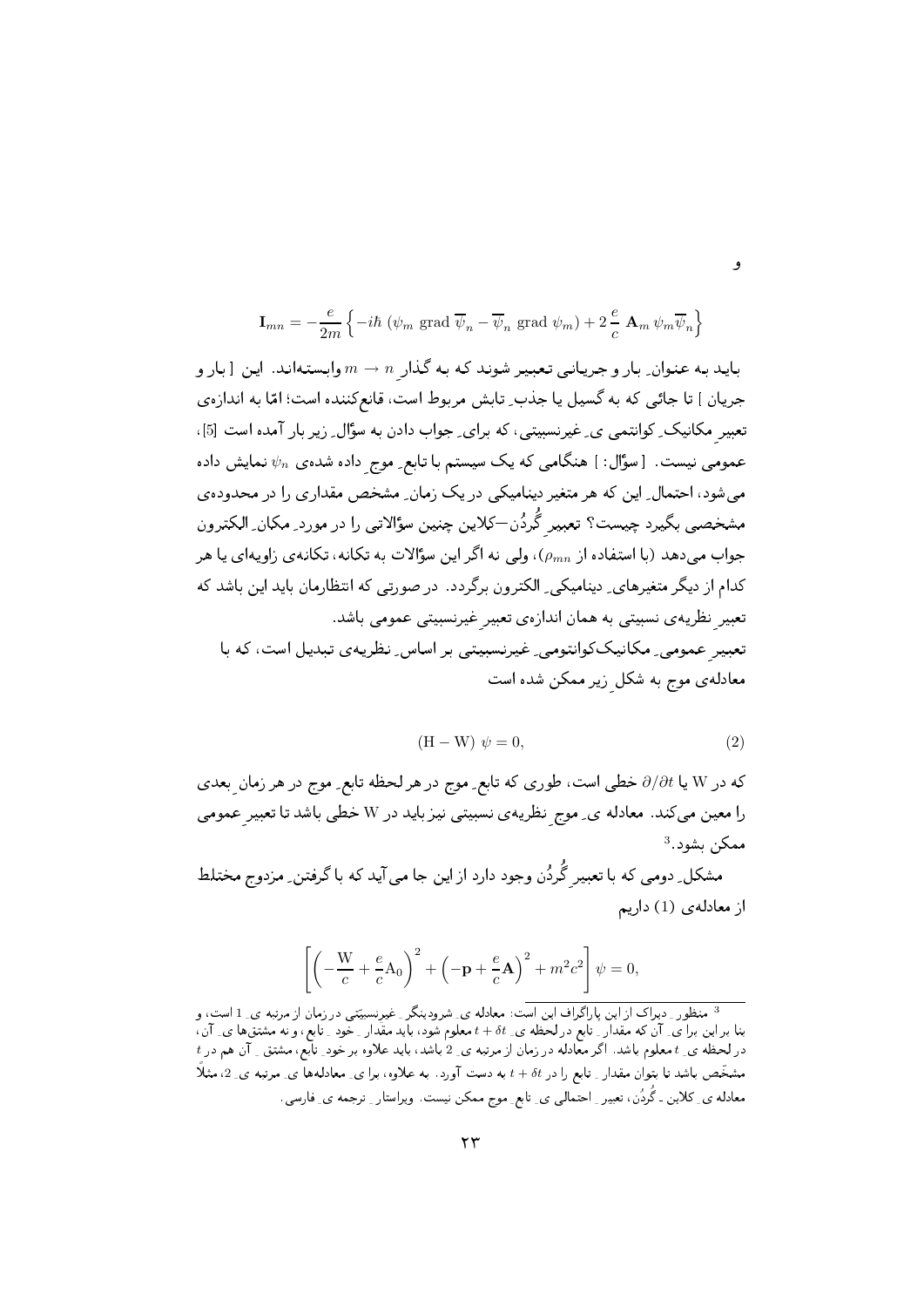$$
\mathbf{I}_{mn} = -\frac{e}{2m} \left\{ -i\hbar \left( \psi_m \text{ grad } \overline{\psi}_n - \overline{\psi}_n \text{ grad } \psi_m \right) + 2\frac{e}{c} \mathbf{A}_m \psi_m \overline{\psi}_n \right\}
$$

باید به عنوان ِ بار و جریانی تعبیر شوند که به گذار  $n\to m$  وابستهاند. این [ بار و جريان ] تا جائبي كه به گسيل يا جذب ِ تابش مربوط است، قانع كننده است؛ امّا به اندازهي تعبیر مکانیک ِ کوانتمی ی ِ غیرنسبیتی، که برای ِ جواب دادن به سؤال ِ زیر بار آمده است [5]، عمومی نیست. [سؤال: ] هنگامی که یک سیستم با تابع ِ موج داده شده $\psi_n$  نمایش داده می شود، احتمال ِ این که هر متغیر دینامیکی در یک زمان ِ مشخص مقداری را در محدودهی مشخصی بگیرد چیست؟ تعبیر گَردُن—کلاین چنین سؤالاتی را در مورد ِ مکان ِ الکترون جواب می دهد (با استفاده از  $(\rho_{mn})$ ، ولی نه اگر این سؤالات به تکانه، تکانهی زاویهای یا هر کدام از دیگر متغیرهای ِ دینامیکی ِ الکترون برگردد. در صورتی که انتظارمان باید این باشد که تعبیر نظریه ی نسبیتی به همان اندازهی تعبیر غیرنسبیتی عمومی باشد. تعبیر<sub>ِ</sub> عمومی ِ مکانیککوانتومی ِ غیرنسبیتی بر اساس ِ نظریهی تبدیل است، که با معادله ی موج به شکل زیر ممکن شده است

$$
(\mathbf{H} - \mathbf{W}) \psi = 0,\t(2)
$$

که در W یا  $\partial/\partial t$  خطی است، طوری که تابع ِ موج در هر لحظه تابع ِ موج در هر زمان بعدی را معین می کند. معادله ی ِ موج نظریهی نسبیتی نیز باید در W خطی باشد تا تعبیر عمومی ممكن بشود.<sup>3</sup>

مشکل ِ دومی که با تعبیر گَردُن وجود دارد از این جا می آید که با گرفتن ِ مزدوج مختلط از معادلهى (1) داريم

$$
\left[ \left( -\frac{W}{c} + \frac{e}{c} A_0 \right)^2 + \left( -\mathbf{p} + \frac{e}{c} \mathbf{A} \right)^2 + m^2 c^2 \right] \psi = 0,
$$

<sup>3</sup> منظور <sub>-</sub> دیراک از این پاراگراف این است: معادله ی ِ شرودینگر ِ غیرنسبیّتی در زمان از مرتبه ی ِ 1 است، و بنا براین برا ی ِ آن که مقدار ِ تابع درلحظه ی ِ b+ + t معلوم شود، باید مقدار ِ خود ِ تابع، و نه مشتقها ی ِ آن،  $t$  در لحظه ی ِ t معلوم باشد. اگر معادله در زمان از مرتبه ی ِ 2 باشد، باید علاوه بر خود ِ تابع، مشتق ِ آن هم در  $t$ مشخَّص باشد تا بتوان مقدار ِ تابع را در t + δt به دست آورد. به علاوه، برا ی ِ معادلهها ی ِ مرتبه ی ِ 2، مثلاً معادله ی ِ کلاین ـ گُردُن، تعبیر ِ احتمالی ی ِ تابع ِ موج ممکن نیست. ویراستار ِ ترجمه ی ِ فارسی.

۲۳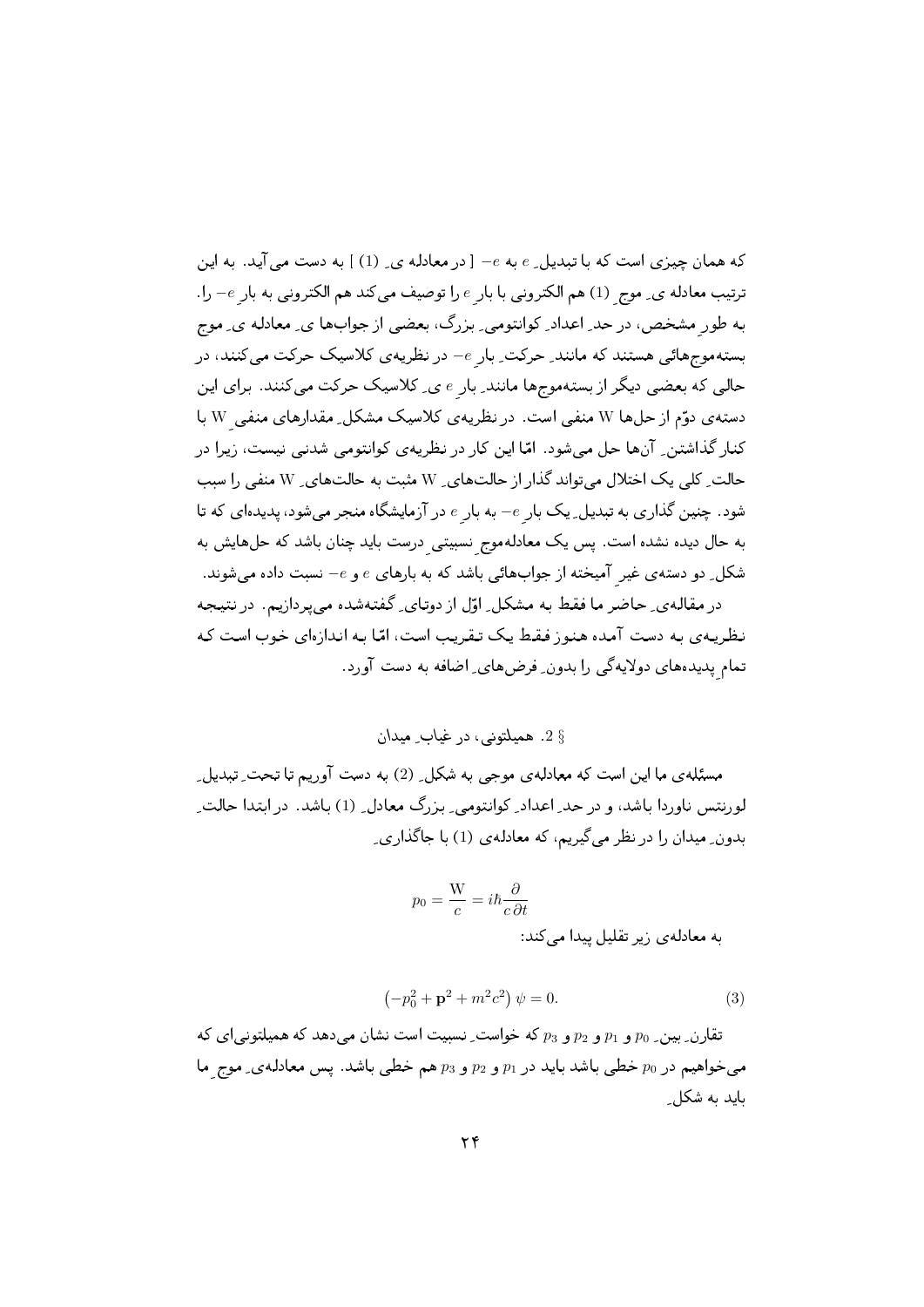که همان چیزی است که با تبدیل ِ e به e- [ در معادله ی ِ (1) ] به دست می آید. به این ترتیب معادله ي ِ موج (1) هم الكتروني با بار e را توصيف ميكند هم الكتروني به بار e- را. به طور مشخص، در حد اعداد ِ کوانتومی ِ بزرگ، بعضی از جوابها ی ِ معادله ی ِ موج بسته موج هائی هستند که مانند ِ حرکت ِ بار e- در نظریه ی کلاسیک حرکت می کنند، در حالی که بعضی دیگر از بستهموجها مانند ِ بار e ی ِ کلاسیک حرکت میکنند. برای این دسته ی دوّم از حل ها W منفی است. در نظریه ی کلاسیک مشکل ِ مقدارهای منفی W با کنار گذاشتن ِ آنها حل می شود. امّا این کار در نظریه ی کوانتومی شدنی نیست، زیرا در حالت ِ کلی یک اختلال میتواند گذار از حالتهای ِ W مثبت به حالتهای ِ W منفی را سبب شود. چنین گذاری به تبدیل ِ یک بار e- به بار e در آزمایشگاه منجر میشود، پدیدهای که تا به حال دیده نشده است. پس یک معادلهموج نسبیتی درست باید چنان باشد که حلهایش به شکل ِ دو دسته ی غیر آمیخته از جوابهائی باشد که به بارهای  $e$  و  $e$  نسبت داده می شوند. در مقاله ی ِ حاضر ما فقط به مشکل ِ اوّل از دوتای ِ گفتهشده می پردازیم. در نتیجه نظریهی به دست آمده هنوز فقط یک تقریب است، امّا به اندازهای خوب است که

تمام پدیدههای دولایهگی را بدون ِ فرضهای ِ اضافه به دست آورد.

§ 2. هميلتوني، در غياب ِ ميدان

مسئلهی ما این است که معادلهی موجی به شکل ِ (2) به دست آوریم تا تحت ِ تبدیل ِ لورنتس ناوردا باشد، و در حد ِ اعداد ِ کوانتومی ِ بزرگ معادل ِ (1) باشد. در ابتدا حالت ِ بدون ِ میدان را در نظر می گیریم، که معادله ی (1) با جاگذاری ِ

$$
p_0 = \frac{W}{c} = i\hbar \frac{\partial}{c\,\partial t}
$$
 به معادلمی زیر تقلیل پیدا می کند:

$$
\left(-p_0^2 + \mathbf{p}^2 + m^2 c^2\right)\psi = 0.
$$
 (3)

تقارن ِ بين ِ p0 و p1 و p3 و دين بين عليه خواست ِ نسبيت است نشان مي دهد كه هميلتوني اي كه می خواهیم در p0 خطبی باشد باید در p1 و p2 و p3 هم خطبی باشد. پس معادله ی ِ موج ما باید به شکل ِ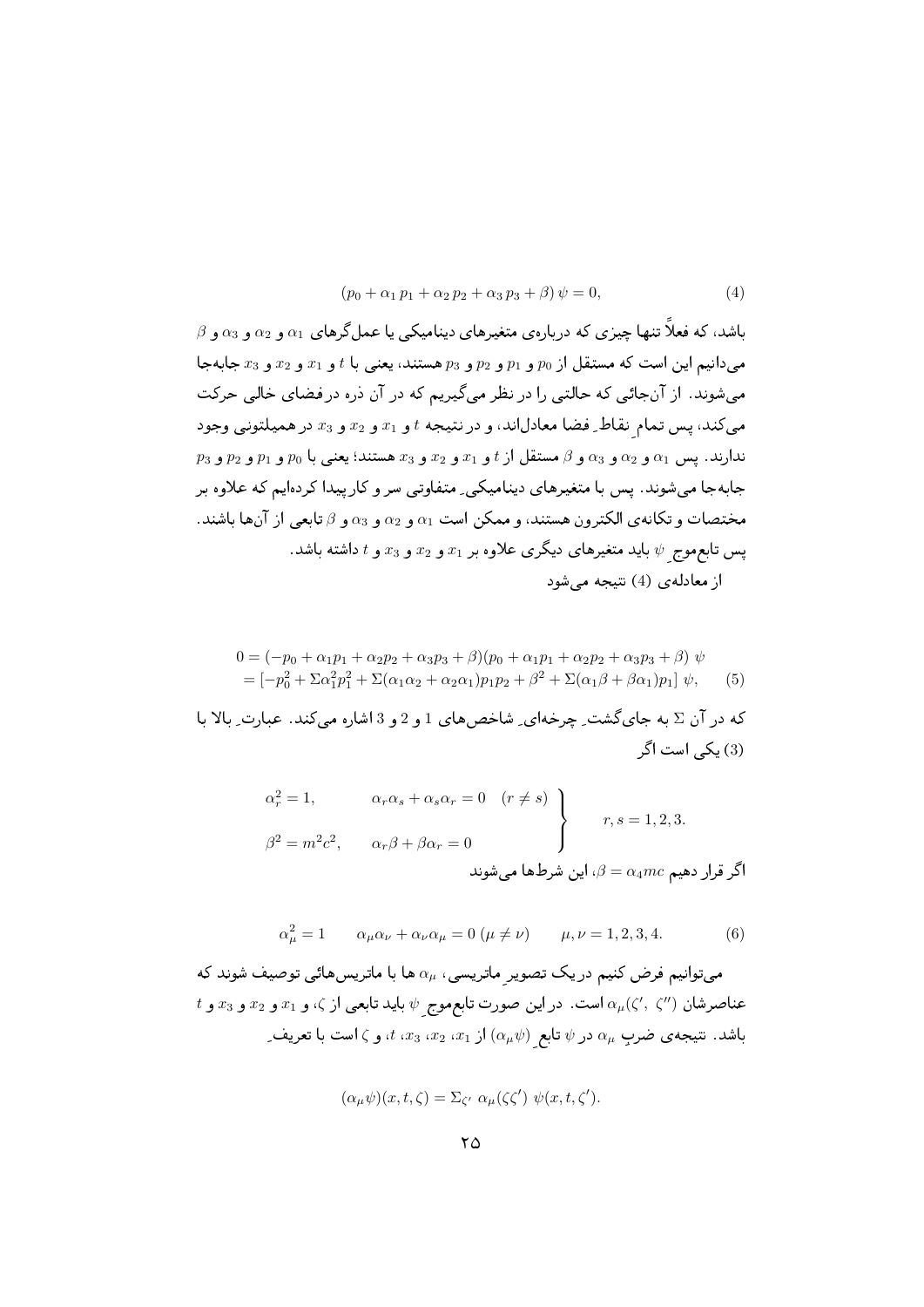$$
(p_0 + \alpha_1 p_1 + \alpha_2 p_2 + \alpha_3 p_3 + \beta) \psi = 0,
$$
\n(4)

 $\beta$  باشد، که فعلاً تنها چیزی که دربارهی متغیرهای دینامیکی یا عمل گرهای  $\alpha_1$  و  $\alpha_2$  و  $\alpha_3$  و می دانیم این است که مستقل از  $p_0$  و  $p_1$  و  $p_2$  و د $p$  هستند، یعنی با  $t$  و  $x_1$  و  $x_2$  و  $x_3$  جابه جا می شوند. از آنجائی که حالتی را در نظر می گیریم که در آن دره در فضای خالی حرکت می کند، پس تمام نقاط ِ فضا معادلاند، و در نتیجه  $t$  و  $x_1$  و  $x_2$  و  $x_3$  در همیلتونبی وجود  $p_2$  ندارند. پس  $\alpha_1$  و  $\alpha_2$  و  $\alpha_3$  و  $\alpha_5$  و  $\beta$  مستقل از  $t$  و  $x_1$  و  $x_2$  و  $\alpha_3$  و  $\alpha_2$  و  $\alpha_1$  و  $\alpha_1$ جابهجا می شوند. پس با متغیرهای دینامیکی ِ متفاوتی سر و کار پیدا کردهایم که علاوه بر مختصات و تكانه ي الكترون هستند، و ممكن است  $\alpha_1$  و  $\alpha_2$  و  $\alpha_3$  و  $\beta$  تابعي از آن ها باشند. یس تابع موج  $\psi$  باید متغیرهای دیگری علاوه بر  $x_1$  و  $x_2$  و  $x_3$  و  $t$  داشته باشد. از معادلهی (4) نتیجه می شود

$$
0 = (-p_0 + \alpha_1 p_1 + \alpha_2 p_2 + \alpha_3 p_3 + \beta)(p_0 + \alpha_1 p_1 + \alpha_2 p_2 + \alpha_3 p_3 + \beta) \psi
$$
  
= 
$$
[-p_0^2 + \Sigma \alpha_1^2 p_1^2 + \Sigma (\alpha_1 \alpha_2 + \alpha_2 \alpha_1) p_1 p_2 + \beta^2 + \Sigma (\alpha_1 \beta + \beta \alpha_1) p_1] \psi,
$$
 (5)

که در آن ∑به جای گشت ِ چرخهای ِ شاخصهای 1 و 2 و 3 اشاره می کند. عبارت ِ بالا با (3) یکی است اگر

$$
\alpha_r^2 = 1, \qquad \alpha_r \alpha_s + \alpha_s \alpha_r = 0 \quad (r \neq s)
$$
\n
$$
\beta^2 = m^2 c^2, \qquad \alpha_r \beta + \beta \alpha_r = 0
$$
\n
$$
\beta = \alpha_4 m c \quad \beta = 1, 2, 3.
$$
\n
$$
\beta = \alpha_4 m c \quad \beta = 1, 2, 3.
$$

$$
\alpha_{\mu}^{2} = 1 \qquad \alpha_{\mu}\alpha_{\nu} + \alpha_{\nu}\alpha_{\mu} = 0 \ (\mu \neq \nu) \qquad \mu, \nu = 1, 2, 3, 4. \tag{6}
$$

میتوانیم فرض کنیم در یک تصویر ماتریسی ،  $\alpha_\mu$  ها با ماتریسهائی توصیف شوند که  $t$  عناصرشان  $\alpha_\mu(\zeta',\,\zeta'')$  است. در این صورت تابع موج  $\psi$  باید تابعی از ی، و  $x_1$  و  $x_2$  و  $x_3$  و باشد. نتیجه ی ضربِ  $\alpha_\mu$  در  $\psi$  تابع  $(\alpha_\mu\psi)\in\mathbb{C}_2\,$  ،  $x_2$  ،  $x_3$  ،  $x_2$  ، با تعریف ِ

$$
(\alpha_{\mu}\psi)(x,t,\zeta) = \Sigma_{\zeta'} \alpha_{\mu}(\zeta\zeta') \psi(x,t,\zeta').
$$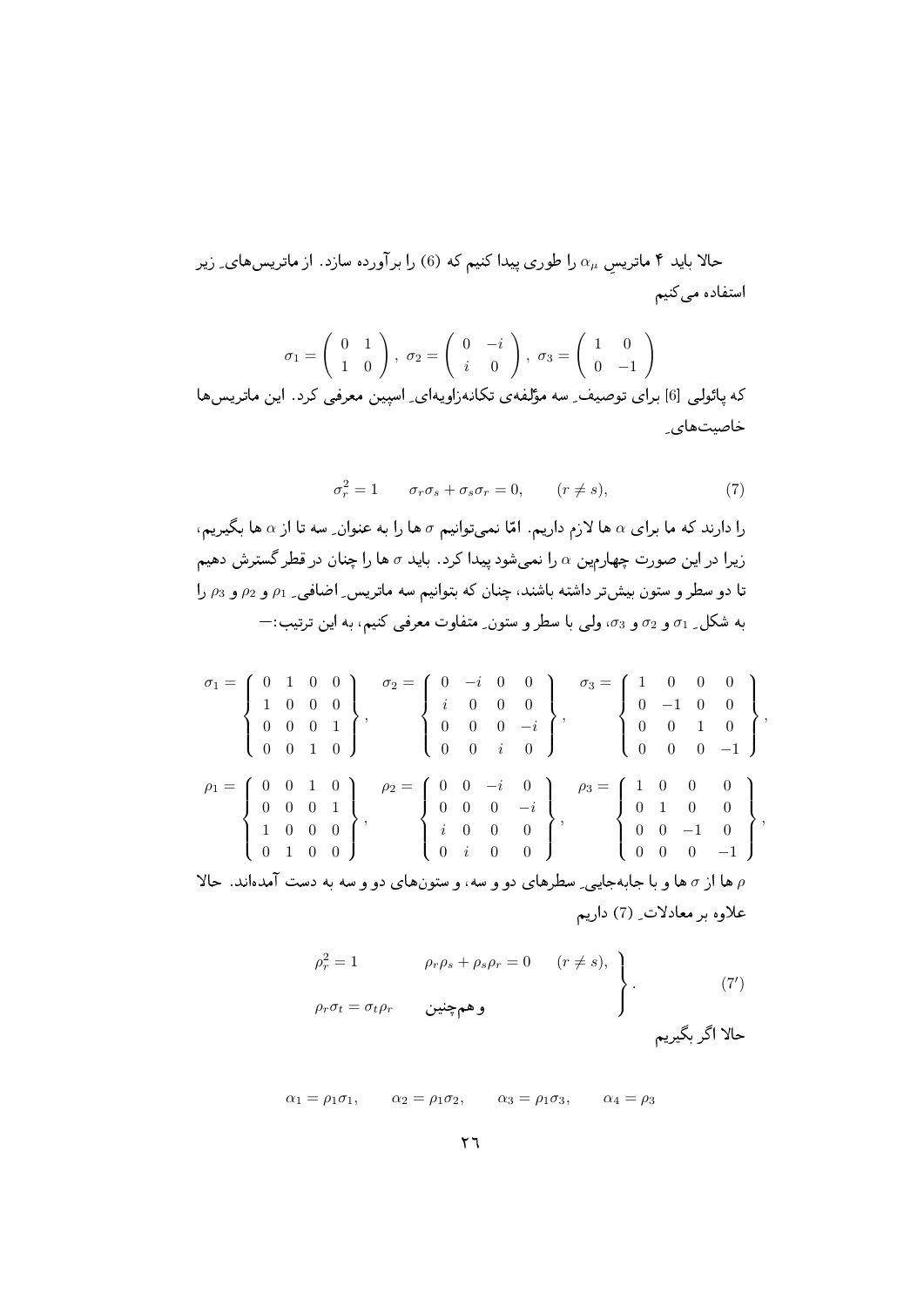حالا باید ۴ ماتریس  $\alpha_\mu$  را طوری پیدا کنیم که (6) را برآورده سازد. از ماتریس،های ِ زیر استفاده میکنیم

$$
\sigma_1 = \begin{pmatrix} 0 & 1 \\ 1 & 0 \end{pmatrix}, \ \sigma_2 = \begin{pmatrix} 0 & -i \\ i & 0 \end{pmatrix}, \ \sigma_3 = \begin{pmatrix} 1 & 0 \\ 0 & -1 \end{pmatrix}
$$
که پاتولی [6] پاتوصیف<sub>د</sub> سه مۇلفهی تکانەزاویهای ی استین معرفی کرد. این ماتریسها  
خاصیتهای 1

$$
\sigma_r^2 = 1 \qquad \sigma_r \sigma_s + \sigma_s \sigma_r = 0, \qquad (r \neq s), \tag{7}
$$

را دارند که ما برای  $\alpha$  ها لازم داریم. امّا نمیتوانیم  $\sigma$  ها را به عنوان ِ سه تا از  $\alpha$  ها بگیریم، زیرا در این صورت چهارمین  $\alpha$  را نمیشود پیدا کرد. باید  $\sigma$  ها را چنان در قطر گسترش دهیم تا دو سطر و ستون بیش تر داشته باشند، چنان که بتوانیم سه ماتریس ِ اضافی ِ <sub>1</sub> و و <sub>1</sub> و و <sub>2</sub> را به شکل ِ 71 و 72 و 53، ولي با سطر و ستون ِ متفاوت معرفي کنيم، به اين ترتيب: $\pm$ 

$$
\sigma_{1} = \begin{Bmatrix} 0 & 1 & 0 & 0 \\ 1 & 0 & 0 & 0 \\ 0 & 0 & 0 & 1 \\ 0 & 0 & 1 & 0 \end{Bmatrix}, \quad \sigma_{2} = \begin{Bmatrix} 0 & -i & 0 & 0 \\ i & 0 & 0 & 0 \\ 0 & 0 & 0 & -i \\ 0 & 0 & i & 0 \end{Bmatrix}, \quad \sigma_{3} = \begin{Bmatrix} 1 & 0 & 0 & 0 \\ 0 & -1 & 0 & 0 \\ 0 & 0 & 1 & 0 \\ 0 & 0 & 0 & -1 \end{Bmatrix},
$$
  
\n
$$
\rho_{1} = \begin{Bmatrix} 0 & 0 & 1 & 0 \\ 0 & 0 & 1 & 0 \\ 1 & 0 & 0 & 0 \\ 1 & 0 & 0 & 0 \end{Bmatrix}, \quad \rho_{2} = \begin{Bmatrix} 0 & 0 & -i & 0 \\ 0 & 0 & -i & 0 \\ i & 0 & 0 & 0 \\ 0 & i & 0 & 0 \end{Bmatrix}, \quad \rho_{3} = \begin{Bmatrix} 1 & 0 & 0 & 0 \\ 0 & 1 & 0 & 0 \\ 0 & 1 & 0 & 0 \\ 0 & 0 & -1 & 0 \\ 0 & 0 & 0 & -1 \end{Bmatrix},
$$
  
\n
$$
\gamma_{1} = \begin{Bmatrix} 0 & 0 & 1 & 0 \\ 1 & 0 & 0 & 0 \\ 0 & 1 & 0 & 0 \\ 0 & 0 & 0 & -1 \end{Bmatrix},
$$

ها از  $\sigma$  ها و با جابهجایی ِ سطرهای دو و سه، و ستونهای دو و سه به دست آمدهاند. حالا  $\rho$ علاوه بر معادلات ِ (7) داریم

$$
\alpha_1 = \rho_1 \sigma_1, \qquad \alpha_2 = \rho_1 \sigma_2, \qquad \alpha_3 = \rho_1 \sigma_3, \qquad \alpha_4 = \rho_3
$$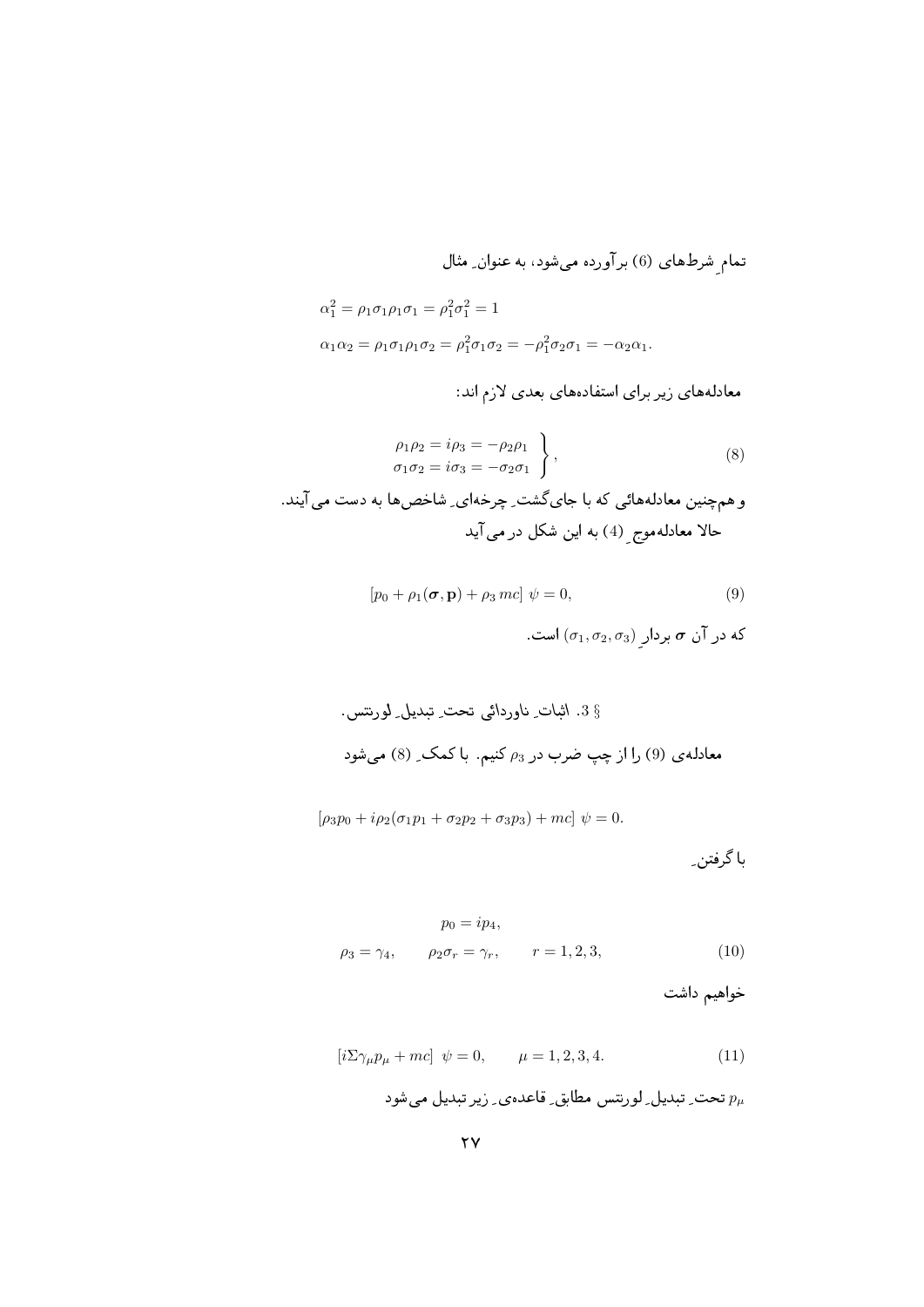تمام شرطهای (6) برآورده میشود، به عنوان ِ مثال

$$
\alpha_1^2 = \rho_1 \sigma_1 \rho_1 \sigma_1 = \rho_1^2 \sigma_1^2 = 1
$$
  
 
$$
\alpha_1 \alpha_2 = \rho_1 \sigma_1 \rho_1 \sigma_2 = \rho_1^2 \sigma_1 \sigma_2 = -\rho_1^2 \sigma_2 \sigma_1 = -\alpha_2 \alpha_1.
$$

معادلههای زیر برای استفادههای بعدی لازم اند:

$$
\left.\begin{aligned}\n\rho_1 \rho_2 &= i \rho_3 = -\rho_2 \rho_1 \\
\sigma_1 \sigma_2 &= i \sigma_3 = -\sigma_2 \sigma_1\n\end{aligned}\right\rbrace,\tag{8}
$$

و هم چنین معادلههائی که با جایگشت ِ چرخهای ِ شاخصها به دست می آیند. حالا معادلهموج ِ (4) به این شکل در می آید

$$
[p_0 + \rho_1(\sigma, \mathbf{p}) + \rho_3 mc] \psi = 0,
$$
\n
$$
\text{(9)}
$$
\n
$$
\text{(1, } \sigma_2, \sigma_3) \psi = \sigma \text{ if } \sigma_1 \text{ and } \sigma_2 \text{ and } \sigma_3 \text{ is } \sigma_1 \text{ and } \sigma_2 \text{ is } \sigma_3 \text{ and } \sigma_4 \text{ is } \sigma_4 \text{ and } \sigma_5 \text{ is } \sigma_5 \text{ and } \sigma_6 \text{ is } \sigma_6 \text{ and } \sigma_7 \text{ is } \sigma_7 \text{ and } \sigma_8 \text{ is } \sigma_8 \text{ is } \sigma_9 \text{ and } \sigma_9 \text{ is } \sigma_9 \text{ is } \sigma_9 \text{ is } \sigma_9 \text{ is } \sigma_9 \text{ is } \sigma_9 \text{ is } \sigma_9 \text{ is } \sigma_9 \text{ is } \sigma_9 \text{ is } \sigma_9 \text{ is } \sigma_9 \text{ is } \sigma_9 \text{ is } \sigma_9 \text{ is } \sigma_9 \text{ is } \sigma_9 \text{ is } \sigma_9 \text{ is } \sigma_9 \text{ is } \sigma_9 \text{ is } \sigma_9 \text{ is } \sigma_9 \text{ is } \sigma_9 \text{ is } \sigma_9 \text{ is } \sigma_9 \text{ is } \sigma_9 \text{ is } \sigma_9 \text{ is } \sigma_9 \text{ is } \sigma_9 \text{ is } \sigma_9 \text{ is } \sigma_9 \text{ is } \sigma_9 \text{ is } \sigma_9 \text{ is } \sigma_9 \text{ is } \sigma_9 \text{ is } \sigma_9 \text{ is } \sigma_9 \text{ is } \sigma_9 \text{ is } \sigma_9 \text{ is } \sigma_9 \text{ is } \sigma_9 \text{ is } \sigma_9 \text{ is } \sigma_9 \text{ is } \sigma_9 \text{ is } \sigma_9 \text{ is } \sigma_9 \text{ is } \sigma_9 \text{ is } \sigma_9 \text{ is } \sigma_9 \text{ is } \sigma_9 \text{ is } \sigma_9 \text{ is } \sigma_9 \text{ is } \sigma_9 \text{ is } \sigma_9 \text{ is } \sigma_9 \text{ is } \sigma_9 \text{ is } \sigma_9 \text{ is } \sigma_9 \text{ is } \sigma_9 \text{ is } \sigma_9 \text{ is } \sigma_9 \text
$$

$$
[\rho_3 p_0 + i \rho_2 (\sigma_1 p_1 + \sigma_2 p_2 + \sigma_3 p_3) + mc] \psi = 0.
$$

با گرفتن ِ

$$
p_0 = i p_4,
$$
  
\n
$$
\rho_3 = \gamma_4, \qquad \rho_2 \sigma_r = \gamma_r, \qquad r = 1, 2, 3,
$$
\n(10)

خواهيم داشت

$$
[i\Sigma \gamma_{\mu} p_{\mu} + mc] \psi = 0, \qquad \mu = 1, 2, 3, 4. \tag{11}
$$

تحت ِ تبدیل ِ لورنتس مطابق ِ قاعدہی ِ زیر تبدیل میشود  $p_\mu$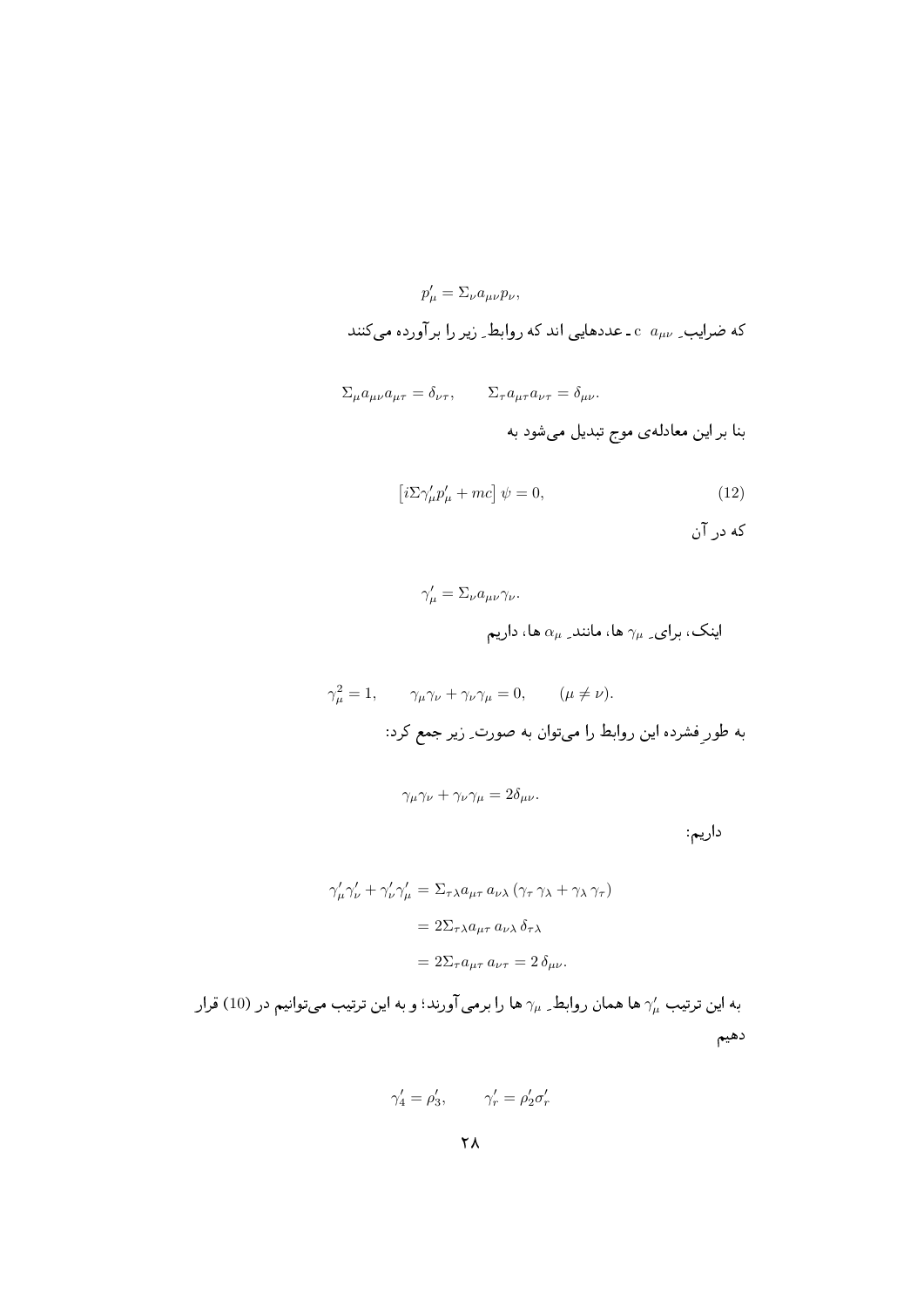$$
p'_{\mu} = \Sigma_{\nu} a_{\mu\nu} p_{\nu},
$$
کہ مصرايب ی سہ 2 - عددھایی اند کہ روابط ے زیر را بر آورده می کنند

$$
\Sigma_{\mu} a_{\mu\nu} a_{\mu\tau} = \delta_{\nu\tau}, \qquad \Sigma_{\tau} a_{\mu\tau} a_{\nu\tau} = \delta_{\mu\nu}.
$$

$$
\left[i\Sigma\gamma_{\mu}'p_{\mu}'+mc\right]\psi=0,
$$
\n(12)

9 -

$$
\gamma'_\mu = \Sigma_\nu a_{\mu\nu} \gamma_\nu.
$$
ا پنک ، برای<sub>ے</sub> برای ہیہ مانند<sub>ے س</sub>م ها، داریم

$$
\gamma_{\mu}^{2} = 1, \qquad \gamma_{\mu}\gamma_{\nu} + \gamma_{\nu}\gamma_{\mu} = 0, \qquad (\mu \neq \nu).
$$
 بہ طورِ فشرده این روابط را میتوان به صورت۔ زیر جمع کرد:

$$
\gamma_\mu\gamma_\nu+\gamma_\nu\gamma_\mu=2\delta_{\mu\nu}.
$$
 
$$
\Box
$$

$$
\gamma_{\mu}' \gamma_{\nu}' + \gamma_{\nu}' \gamma_{\mu}' = \Sigma_{\tau \lambda} a_{\mu \tau} a_{\nu \lambda} (\gamma_{\tau} \gamma_{\lambda} + \gamma_{\lambda} \gamma_{\tau})
$$

$$
= 2 \Sigma_{\tau \lambda} a_{\mu \tau} a_{\nu \lambda} \delta_{\tau \lambda}
$$

$$
= 2 \Sigma_{\tau} a_{\mu \tau} a_{\nu \tau} = 2 \delta_{\mu \nu}.
$$

به این ترتیب  $\gamma_{\mu}^{\prime}$  ها همان روابط $\gamma_{\mu}$  ها را برمی آورند؛ و به این ترتیب می $توانیم در (10) قرار$ دهيم

$$
\gamma_4' = \rho_3', \qquad \gamma_r' = \rho_2' \sigma_r'
$$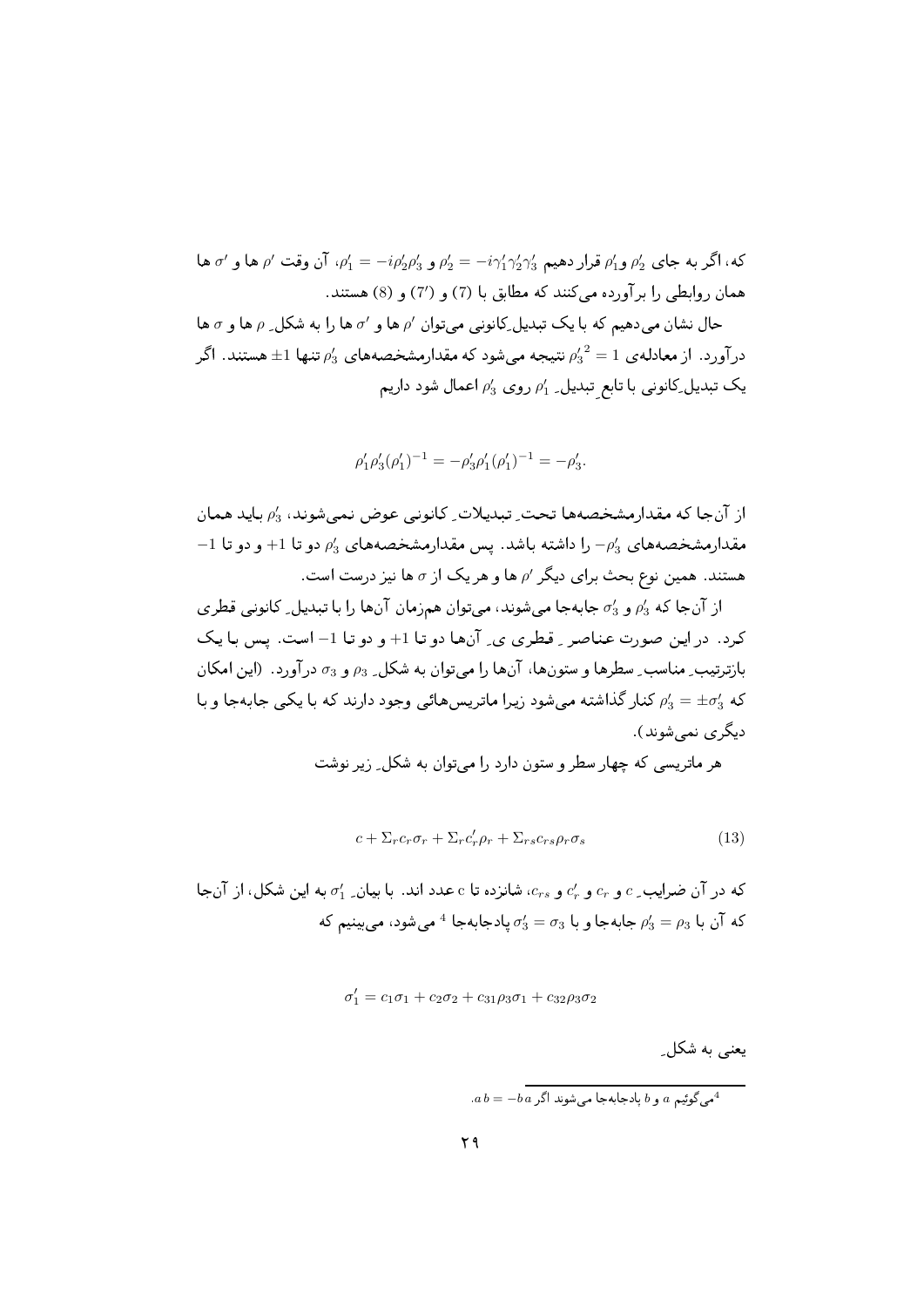که، اگر به جای ی<sup>ام</sup> و<sub>ا</sub>۵ قرار دهیم <sub>۱</sub>۲/۲<sub>1</sub> / ی
$$
-\dot{e}_1
$$
 و یا ہو یا ہو یا ہو یا ہو ۱۲ یا ہو ۱۲ و ۱۰۱۱ یا ہو ۱۲ و ۱۲۱ و ۱۲۱ و ۱۰۱ و ۱۰۱ و ۱۰۱ و ۱۰۱ و ۱۰۱ و سستند.  
حال نشان میدهمیم که با یک تبدیل یا یک تبدیل یکانونی میتوان /م ها و /ه ها را به شکل ے ۹۵ ها و ۲ ها  
درآورد. از معادلهی با تابع تبدیل یا ۱۹م میشود که مقدارمشخصههای ۱۵ تنها t± هستند. اگر  
یک تبدیل یکانونی با تابع تبدیل ۔ ۱۸ وی و ۱۵۱ عمال شود داریم

$$
\rho'_1 \rho'_3 (\rho'_1)^{-1} = -\rho'_3 \rho'_1 (\rho'_1)^{-1} = -\rho'_3
$$

از آنجا كه مقدارمشخصهها تحت ِ تبديلات ِ كانونى عوض نمى شوند، 43 بايد همان  $-1$  مقدارمشخصههای  $-\rho_3$  را داشته باشد. پس مقدارمشخصههای  $\rho_3$  دو تا  $+1$  و دو تا هستند. همین نوع بحث برای دیگر / ها و هر یک از  $\sigma$  ها نیز درست است.

از آن جا که  $\rho_3'$  و  $\sigma_3'$  جابه جا می شوند، می توان همزمان آن ها را با تبدیل ِ کانونی قطری كرد. در اين صورت عناصر ٍ قطري ي ِ آنها دو تا 1+ و دو تا 1– است. پس با يك بازترتيب ِ مناسب ِ سطرها و ستونها، آنها را مي توان به شكل ِ 93 و 53 درآورد. (اين امكان که  $\rho_3'=\pm \sigma_3'$  کنار گذاشته می شود زیرا ماتریس هائی وجود دارند که با یکی جابهجا و با دیگر ی نمے شوند ).

هر ماتریسی که چهار سطر و ستون دارد را می توان به شکل ِ زیر نوشت

$$
c + \sum_{r} c_{r} \sigma_{r} + \sum_{r} c'_{r} \rho_{r} + \sum_{rs} c_{rs} \rho_{r} \sigma_{s}
$$
\n(13)

که در آن ضرایب ِ c و c، و c، و c، شانزده تا c عدد اند. با بیان ِ d به این شکل، از آن جا که در آن مسل که آن یا  $\rho_3' = \rho_3$  جایه جا و یا  $\sigma_3' = \sigma_3$  یادجایه جا $^4$  می شود، می بینیم که

$$
\sigma_1' = c_1 \sigma_1 + c_2 \sigma_2 + c_{31} \rho_3 \sigma_1 + c_{32} \rho_3 \sigma_2
$$

یعنی به شکل ِ

$$
.a\,b=-b\,a\,\not\exists^1\,a\,\text{with}\,b\,\text{with}\,a\,\text{with}\,a\,\text{with}\,a\,\text{with}\,a\,\text{with}\,\alpha\,\text{with}\,\alpha\,\text{with}\,\alpha\,\text{with}\,\alpha\,\text{with}\,\alpha\,\text{with}\,\alpha\,\text{with}\,\alpha\,\text{with}\,\alpha\,\text{with}\,\alpha\,\text{with}\,\alpha\,\text{with}\,\alpha\,\text{with}\,\alpha\,\text{with}\,\alpha\,\text{with}\,\alpha\,\text{with}\,\alpha\,\text{with}\,\alpha\,\text{with}\,\alpha\,\text{with}\,\alpha\,\text{with}\,\alpha\,\text{with}\,\alpha\,\text{with}\,\alpha\,\text{with}\,\alpha\,\text{with}\,\alpha\,\text{with}\,\alpha\,\text{with}\,\alpha\,\text{with}\,\alpha\,\text{with}\,\alpha\,\text{with}\,\alpha\,\text{with}\,\alpha\,\text{with}\,\alpha\,\text{with}\,\alpha\,\text{with}\,\alpha\,\text{with}\,\alpha\,\text{with}\,\alpha\,\text{with}\,\alpha\,\text{with}\,\alpha\,\text{with}\,\alpha\,\text{with}\,\alpha\,\text{with}\,\alpha\,\text{with}\,\alpha\,\text{with}\,\alpha\,\text{with}\,\alpha\,\text{with}\,\alpha\,\text{with}\,\alpha\,\text{with}\,\alpha\,\text{with}\,\alpha\,\text{with}\,\alpha\,\text{with}\,\alpha\,\text{with}\,\alpha\,\text{with}\,\alpha\,\text{with}\,\alpha\,\text{with}\,\alpha\,\text{with}\,\alpha\,\text{with}\,\alpha\,\text{with}\,\alpha\,\text{with}\,\alpha\,\text{with}\,\alpha\,\text{with}\,\alpha\,\text{with}\,\alpha\,\text{with}\,\alpha\,\text{with}\,\alpha\,\text{with}\,\alpha\,\text{with}\,\alpha\,\text{with}\,\alpha\,\text{with}\,\alpha\,\text{with}\,\alpha\,\text{with}\,\alpha\,\text{with}\,\alpha\,\text{with}\,\alpha\,\text{with}\,\alpha\,\text{with}\,\alpha\,\text{with}\,\alpha\,\text{with}\,\alpha\,\text{with}\,\alpha\,\text{with}\,\alpha\,\text{with}\,\alpha\,\text{with}\,\alpha\,\text{with}\,\alpha\,\text{with}\,\alpha\,\text{with}\,\alpha\,\text{with}\,\alpha\,\text{with}\,\alpha\,\text{with}\,\alpha\,\text{with}\,\alpha\,\text{with}\,\alpha\,\text{with}\,\alpha\,\text{with}\,\alpha\,\
$$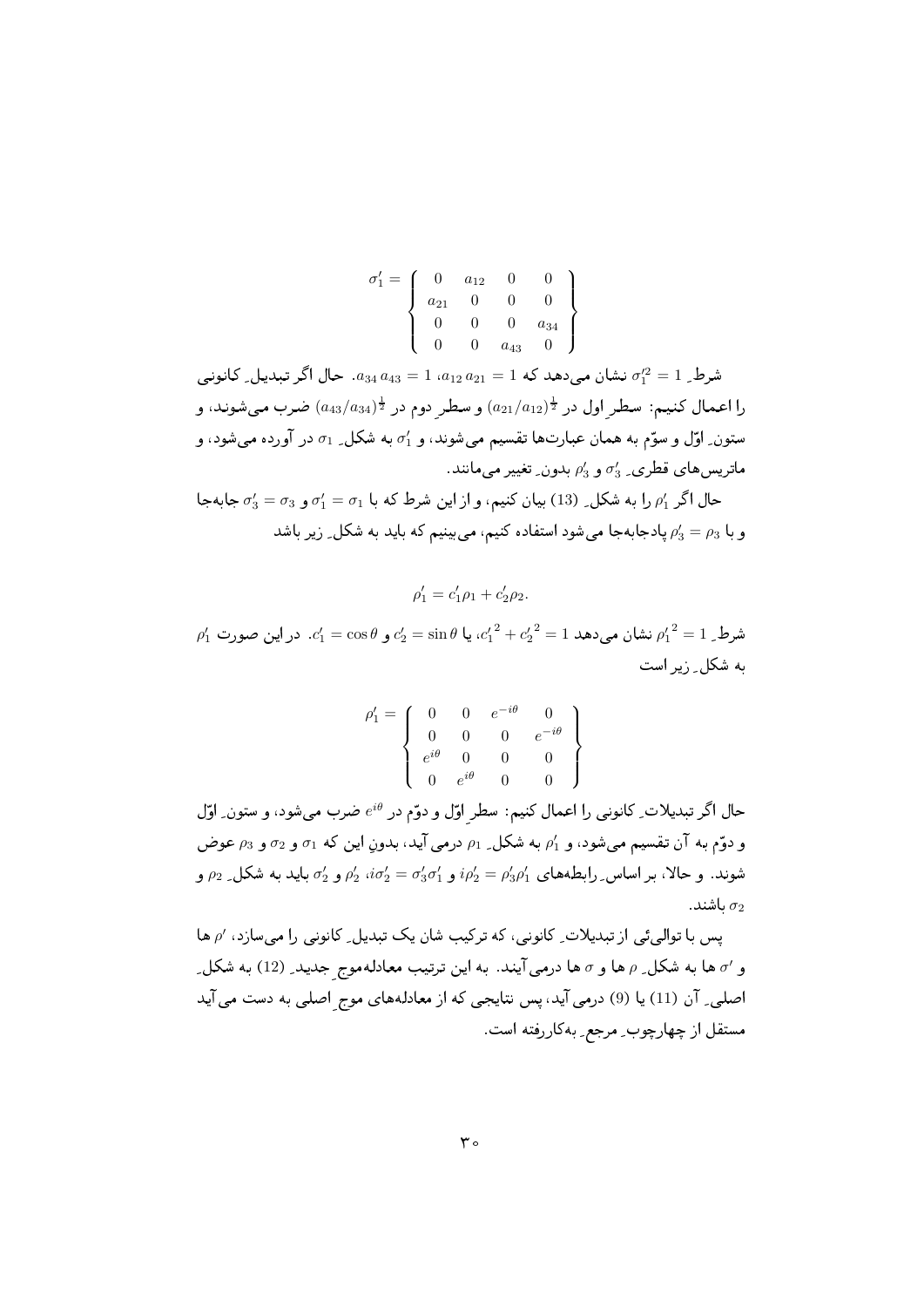$$
\sigma'_1 = \left(\begin{array}{cccc} 0 & a_{12} & 0 & 0 \\ a_{21} & 0 & 0 & 0 \\ 0 & 0 & 0 & a_{34} \\ 0 & 0 & a_{43} & 0 \end{array}\right)
$$

شرط ِ 1 $\sigma_1'^2 = \sigma_1'^2$  نشان مے دھد که 1 $a_{12} = 1 \, a_{12} \, a_{21} = 1$ ، حال اگر تبدیل ِ کانونی را اعمال کنیم: سطر اول در  $(a_{21}/a_{12})^{\frac{1}{2}}$  و سطر دوم در  $(a_{43}/a_{34})^{\frac{1}{2}}$ ضرب میشوند، و ستون ِ اوّل و سوّم به همان عبارتها تقسیم می شوند، و  $\sigma_1'$  به شکل ِ  $\sigma_1$  در آورده می شود، و ماتریس های قطری ـ  $\sigma_3'$  و  $\rho_3'$  بدون ِ تغییر می مانند.

حال اگر  $\rho_1'$  را به شکل ِ (13) بیان کنیم، و از این شرط که با  $\sigma_1 = \sigma_1$  و  $\sigma_3 = \sigma_3'$  جابهجا و با 5 $\rho_3 = \rho_3$  یادجابهجا می شود استفاده کنیم، می بینیم که باید به شکل ِ زیر باشد

 $\rho'_1 = c'_1 \rho_1 + c'_2 \rho_2.$ 

 $\rho'_1$  شرط  $1 = \rho'_1^2 = \rho'_2 = \sin\theta$  نشان می دهد  $c'_2 = \sin\theta$ ، یا  $c'_1 = \sin\theta$  و  $c'_2 = \sin\theta$ . در این صورت به شکل ِ ; پر است

$$
\rho'_1 = \left\{ \begin{array}{cccc} 0 & 0 & e^{-i\theta} & 0 \\ 0 & 0 & 0 & e^{-i\theta} \\ e^{i\theta} & 0 & 0 & 0 \\ 0 & e^{i\theta} & 0 & 0 \end{array} \right\}
$$

حال اگر تبدیلات ِ کانونی را اعمال کنیم: سطر اوّل و دوّم در <sup>ون</sup>ه ضرب میشود، و ستون ِ اوّل و دوّم به آن تقسیم می شود، و  $\rho_1'$  به شکل ِ  $\rho_1$  درمی آید، بدون این که  $\sigma_1$  و  $\sigma_2$  و و $\rho_3$  عوض شوند. و حالا، بر اساس ِ رابطههای  $\rho'_1\rho'_2=\rho'_3\rho'_1$  و  $\sigma'_2\sigma'_1\sigma'_2=\rho'_3\rho'_1$  و یاید به شکل ِ  $\rho_2$  و . باشند  $\sigma_2$ 

یس با توالی ئی از تبدیلات ِ کانونی، که ترکیب شان یک تبدیل ِ کانونی را می سازد، ⁄ه ها و ے ها به شکل ِ م ها و ۍ ها درمي آيند. به اين ترتيب معادلهموج جديد ِ (12) به شکل ِ اصلی۔ آن (11) یا (9) درمی آید، پس نتایجی که از معادلههای موج اصلی به دست می آید مستقل از چهارچوب ِ مرجع ِ بهکاررفته است.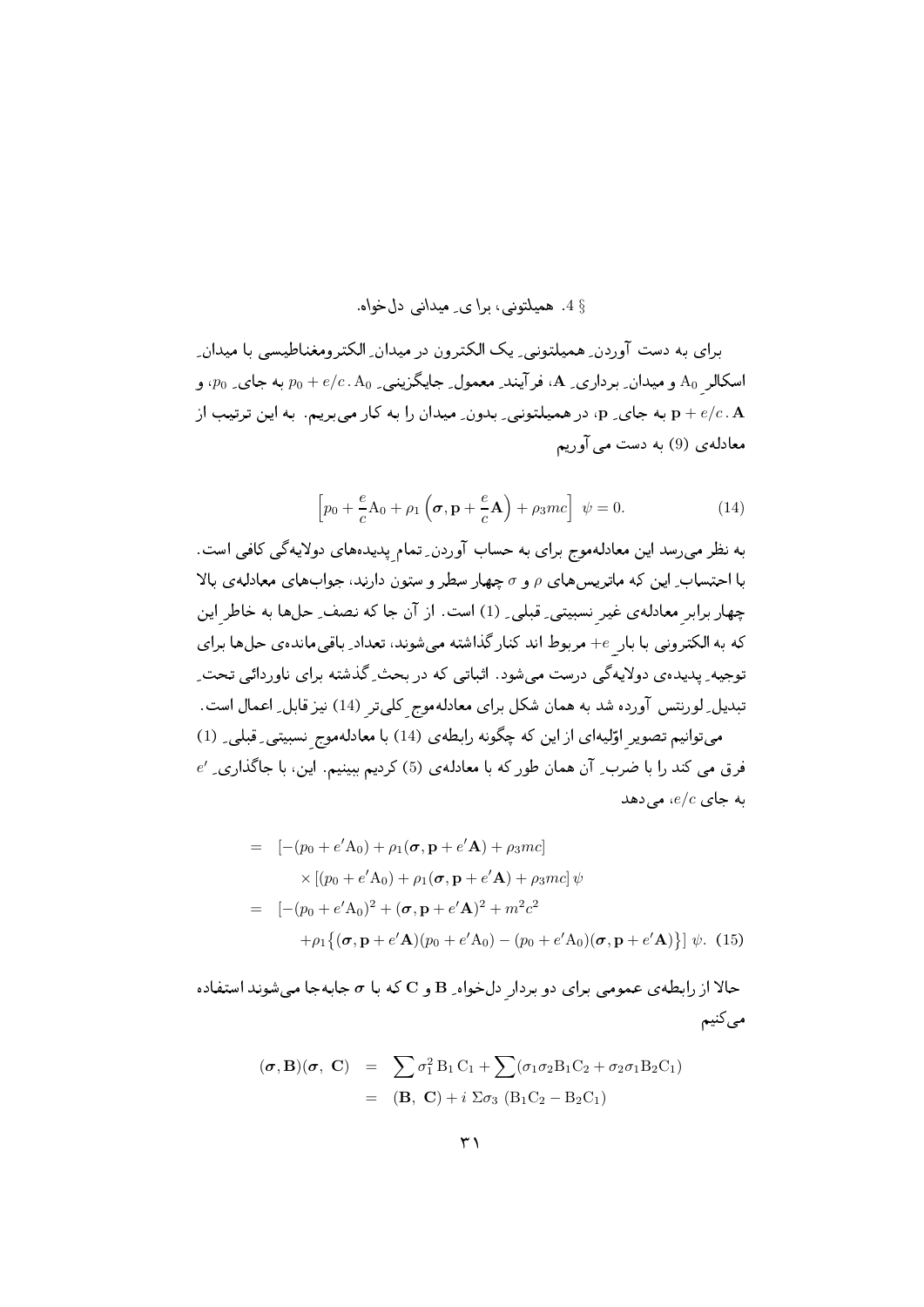## § 4. هميلتوني، برا ي. ميداني دل خواه.

برای به دست آوردن همبلتونی یک الکترون در میدان الکترومغناطیسی با میدان اسکالر A، و میدان ِ برداری ِ A، فرآیند ِ معمول ِ جایگزینی ِ Po + e/c . A، به جای ِ po به و به جای و، در همیلتونی بدون ِ میدان را به کار می بریم. به این ترتیب از  ${\bf p}+e/c$ . A معادلهی (9) به دست می آوریم

$$
\left[p_0 + \frac{e}{c}\mathbf{A}_0 + \rho_1\left(\boldsymbol{\sigma}, \mathbf{p} + \frac{e}{c}\mathbf{A}\right) + \rho_3 mc\right] \ \psi = 0. \tag{14}
$$

به نظر می رسد این معادلهموج برای به حساب آوردن ِ تمام پدیدههای دولایهگی کافی است. با احتساب ِ این که ماتریس های p و e چهار سطر و ستون دارند، جوابهای معادلهی بالا چهار برابر معادلهی غیر نسبیتی ِ قبلی ِ (1) است. از آن جا که نصف ِ حلها به خاطر این که به الکترونی با بار e- مربوط اند کنار گذاشته می شوند، تعداد ِ باقی مانده ی حل ها برای توجیه ِ پدیده ی دولایهگی درست میشود. اثباتی که در بحث ِ گذشته برای ناوردائی تحت ِ تبدیل ِ لورنتس آورده شد به همان شکل برای معادلهموج کلی تر (14) نیز قابل ِ اعمال است. میتوانیم تصویر اوّلیهای از این که چگونه رابطهی (14) با معادلهموج نسبیتی ِ قبلی ِ (1)  $e'$  فرق می کند را با ضرب ِ آن همان طور که با معادلهی (5) کردیم ببینیم. این، با جاگذاری ِ  $e/c$  به جای  $e/c$ ، می دهد

$$
= [-(p_0 + e'A_0) + \rho_1(\boldsymbol{\sigma}, \mathbf{p} + e'A) + \rho_3 mc]
$$
  
\n
$$
\times [(p_0 + e'A_0) + \rho_1(\boldsymbol{\sigma}, \mathbf{p} + e'A) + \rho_3 mc] \psi
$$
  
\n
$$
= [-(p_0 + e'A_0)^2 + (\boldsymbol{\sigma}, \mathbf{p} + e'A)^2 + m^2 c^2
$$
  
\n
$$
+ \rho_1 \{ (\boldsymbol{\sigma}, \mathbf{p} + e'A)(p_0 + e'A_0) - (p_0 + e'A_0)(\boldsymbol{\sigma}, \mathbf{p} + e'A) \} ] \psi.
$$
 (15)

حالا از رابطهی عمومی برای دو بردار دل خواه B و C که با  $\sigma$  جابهجا میشوند استفاده می کنیم

$$
(\boldsymbol{\sigma}, \mathbf{B})(\boldsymbol{\sigma}, \mathbf{C}) = \sum \sigma_1^2 B_1 C_1 + \sum (\sigma_1 \sigma_2 B_1 C_2 + \sigma_2 \sigma_1 B_2 C_1)
$$
  
= (\mathbf{B}, \mathbf{C}) + i \Sigma \sigma\_3 (B\_1 C\_2 - B\_2 C\_1)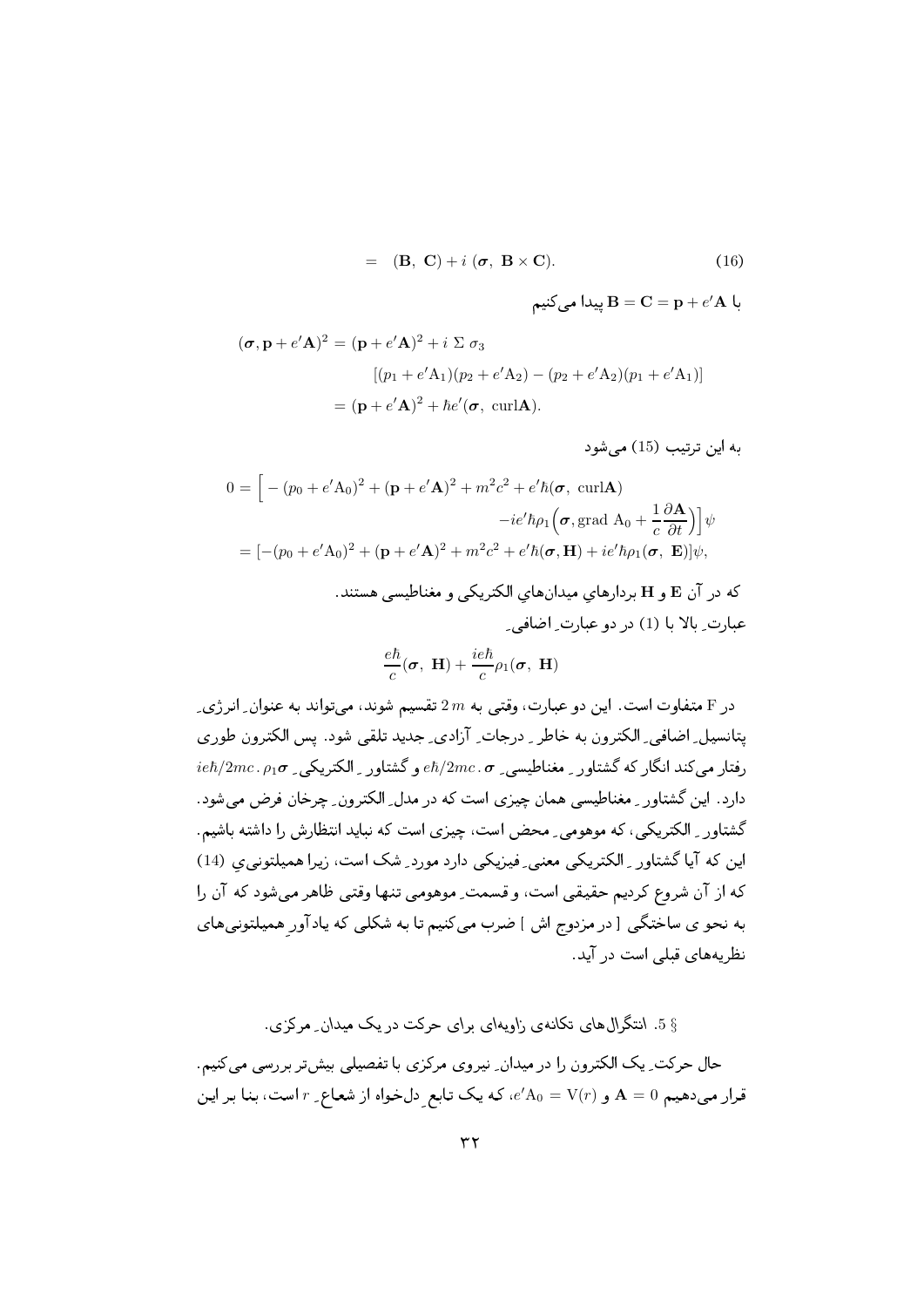$$
= (\mathbf{B}, \mathbf{C}) + i (\boldsymbol{\sigma}, \mathbf{B} \times \mathbf{C}). \tag{16}
$$

$$
\mathbf{B} = \mathbf{C} = \mathbf{p} + e'\mathbf{A}
$$
 پیدا می کنیم

$$
(\boldsymbol{\sigma}, \mathbf{p} + e'\mathbf{A})^2 = (\mathbf{p} + e'\mathbf{A})^2 + i \Sigma \sigma_3
$$
  
\n
$$
[(p_1 + e'\mathbf{A}_1)(p_2 + e'\mathbf{A}_2) - (p_2 + e'\mathbf{A}_2)(p_1 + e'\mathbf{A}_1)]
$$
  
\n
$$
= (\mathbf{p} + e'\mathbf{A})^2 + \hbar e'(\boldsymbol{\sigma}, \text{ curl}\mathbf{A}).
$$

به این ترتیب (15) می شود

$$
0 = \left[ -(p_0 + e'\mathbf{A}_0)^2 + (\mathbf{p} + e'\mathbf{A})^2 + m^2c^2 + e'\hbar(\boldsymbol{\sigma}, \text{ curl}\mathbf{A}) \right]
$$

$$
-ie'\hbar\rho_1(\boldsymbol{\sigma}, \text{grad }\mathbf{A}_0 + \frac{1}{c}\frac{\partial \mathbf{A}}{\partial t}) \right] \psi
$$

$$
= \left[ -(p_0 + e'\mathbf{A}_0)^2 + (\mathbf{p} + e'\mathbf{A})^2 + m^2c^2 + e'\hbar(\boldsymbol{\sigma}, \mathbf{H}) + ie'\hbar\rho_1(\boldsymbol{\sigma}, \mathbf{E}) \right] \psi,
$$

که در آن E و H بردارهای میدانهای الکتریکی و مغناطیسی هستند. عبارت ِ بالا با (1) در دو عبارت ِ اضافى ِ

$$
\frac{e\hbar}{c}(\boldsymbol{\sigma}, \mathbf{H}) + \frac{ie\hbar}{c}\rho_1(\boldsymbol{\sigma}, \mathbf{H})
$$

در F متفاوت است. این دو عبارت، وقتی به  $2\,m$  تقسیم شوند، می تواند به عنوان ِ انر ژی ِ پتانسپل ِ اضافی ِ الکترون به خاطر ِ ِ درجات ِ آزادی ِ جدید تلقی شود. پس الکترون طوری  $ie\hbar/2mc$ . دفتار می کند انگار که گشتاور په مغناطیسی په  $\hbar/2mc$  و گشتاور په الکتریکی په  $\sigma$ دارد. این گشتاور ـ مغناطیسی همان چیزی است که در مدل ِ الکترون ِ چرخان فرض می شود. گشتاور ِ الکتریکی، که موهومی ِ محض است، چیزی است که نباید انتظارش را داشته باشیم. این که آیا گشتاور ِ الکتریکی معنی ِ فیزیکی دارد مورد ِ شک است، زیرا همپلتونی ی (14) كه از آن شروع كرديم حقيقى است، و قسمت ِ موهومى تنها وقتى ظاهر مى شود كه آن را به نحو ی ساختگی [در مزدوج اش ] ضرب می کنیم تا به شکلی که یاد آور همیلتونیهای نظریههای قبلی است در آید.

5 5. انتگرال های تکانهی زاویهای برای حرکت در یک میدان ِ مرکزی.

حال حرکت ِ یک الکترون را در میدان ِ نیروی مرکزی با تفصیلی بیشتر بررسی میکنیم. قرار می دهیم A = 0 و (e'A $_0 = V(r)$ ، که یک تابع دل خواه از شعاع ِ r است، بنا بر این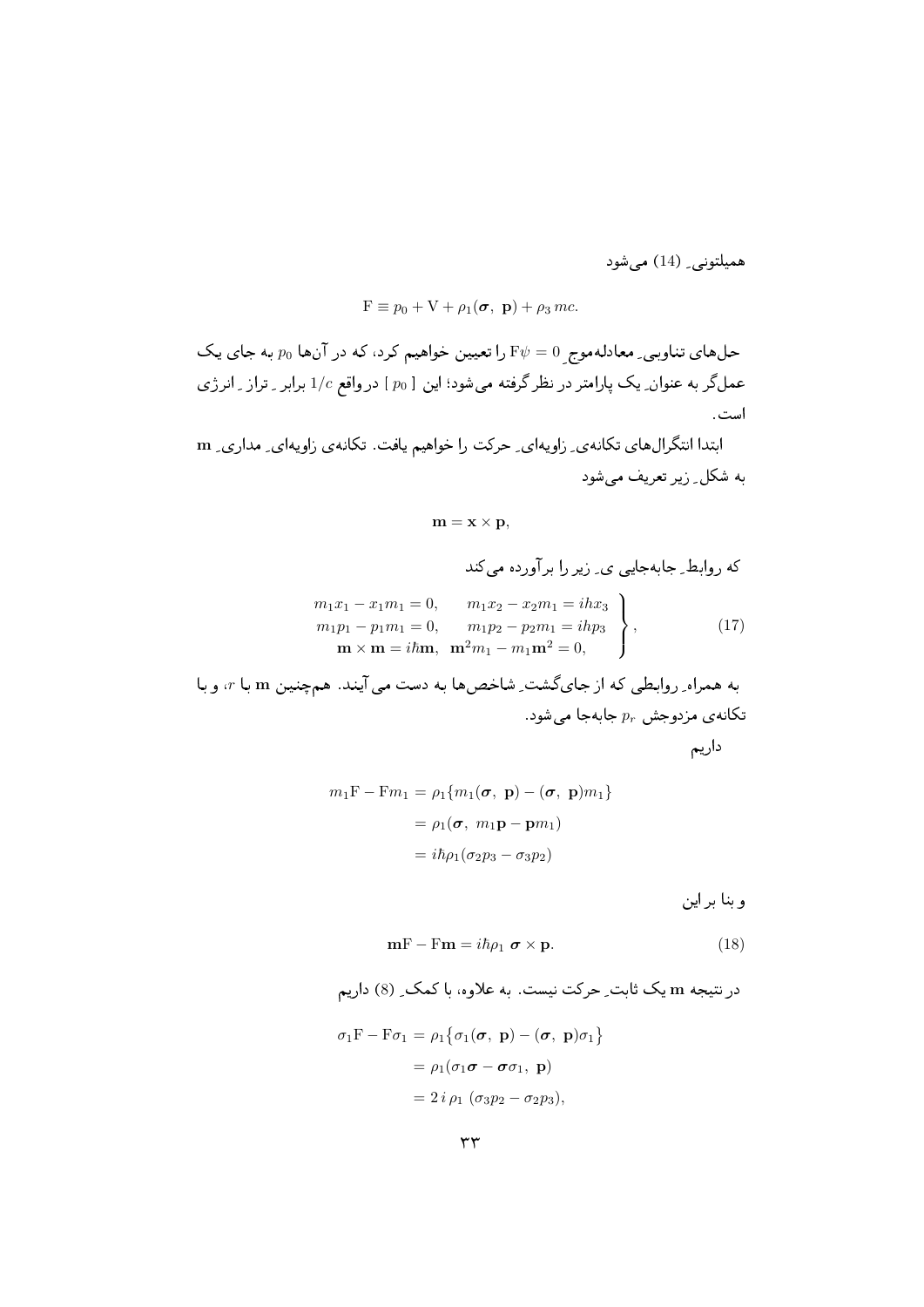هميلتوني\_ (14) ميشود

$$
F \equiv p_0 + V + \rho_1(\boldsymbol{\sigma}, \mathbf{p}) + \rho_3 mc.
$$

حلهای تناوبی ِ معادلهموج E $\psi=0$  را تعیین خواهیم کرد، که در آنها  $p_0$  به جای یک عمل گر به عنوان ِ یک پارامتر در نظر گرفته میشود؛ این [  $p_0$  ] در واقع 1/c برابر ـ تراز ـ انرژی است.

ابتدا انتگرال های تکانه ی ِ زاویهای ِ حرکت را خواهیم یافت. تکانهی زاویهای ِ مداری ِ m . اب اب العالم العالم العالم العالم العالم العالم العالم العالم العالم المناسبة العالم المناسبة العالم العالم

$$
\mathbf{m}=\mathbf{x}\times\mathbf{p},
$$

2( \$- 9  Z

$$
m_1x_1 - x_1m_1 = 0, \t m_1x_2 - x_2m_1 = ihx_3m_1p_1 - p_1m_1 = 0, \t m_1p_2 - p_2m_1 = ihp_3\nm × m = ihm, \t m2m1 - m1m2 = 0,
$$
\n(17)

به همراه ِ روابطی که از جایگشت ِ شاخصها به دست می آیند. همچنین m با r، و با تکانهی مزدوجش  $p_r$  جابهجا میشود.

7 -

$$
m_1 \mathbf{F} - \mathbf{F} m_1 = \rho_1 \{ m_1(\boldsymbol{\sigma}, \mathbf{p}) - (\boldsymbol{\sigma}, \mathbf{p}) m_1 \}
$$

$$
= \rho_1(\boldsymbol{\sigma}, m_1 \mathbf{p} - \mathbf{p} m_1)
$$

$$
= i\hbar \rho_1 (\sigma_2 p_3 - \sigma_3 p_2)
$$

وبنا بر این

$$
\mathbf{m} \mathbf{F} - \mathbf{F} \mathbf{m} = i\hbar \rho_1 \ \boldsymbol{\sigma} \times \mathbf{p}.
$$
 (18)

در نتیجه m یک ثابت ِ حرکت نیست. به علاوه، با کمک ِ (8) داریم  $\sigma_1 \text{F} - \text{F} \sigma_1 = \rho_1 \{ \sigma_1(\boldsymbol{\sigma}, \ \mathbf{p}) - (\boldsymbol{\sigma}, \ \mathbf{p}) \sigma_1 \}$  $= \rho_1(\sigma_1\boldsymbol{\sigma} - \boldsymbol{\sigma}\sigma_1, \mathbf{p})$  $= 2 i \rho_1 (\sigma_3 p_2 - \sigma_2 p_3),$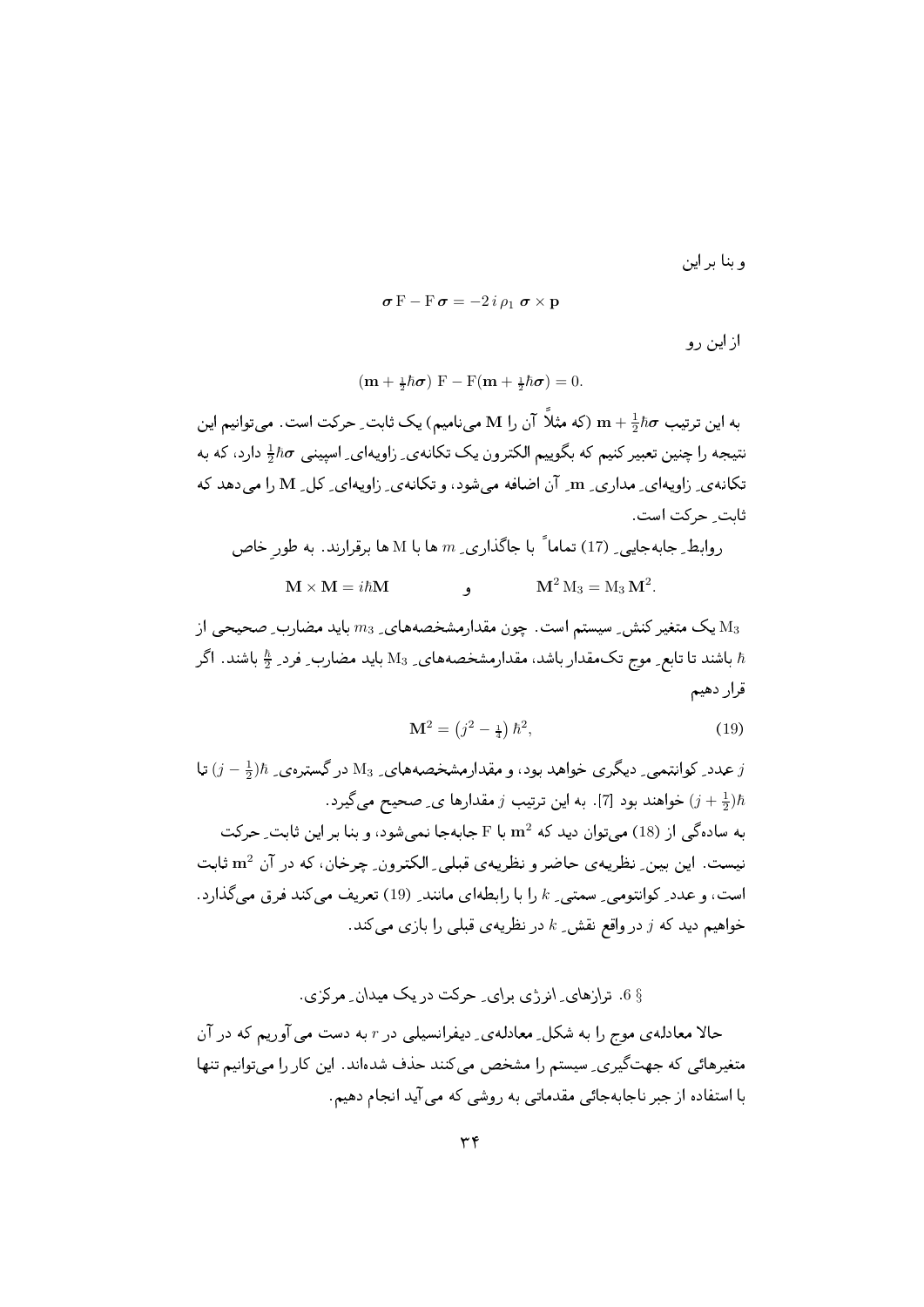و بنا بر این

 $\sigma F - F \sigma = -2i \rho_1 \sigma \times r$ 

از این رو

$$
(\mathbf{m} + \frac{1}{2}\hbar\boldsymbol{\sigma})\ \mathbf{F} - \mathbf{F}(\mathbf{m} + \frac{1}{2}\hbar\boldsymbol{\sigma}) = 0.
$$

به این ترتیب  $\hbar \sigma$  ( سنگ آن را M مینامیم) یک ثابت ِ حرکت است. میتوانیم این نتیجه را چنین تعبیر کنیم که بگوییم الکترون یک تکانهی ِ زاویهای ِ اسپینبی  $\hbar \sigma$  دارد، که به تکانه ي زاويهاي ٍ مداري ٍ m ٍ آن اضافه مي شود، و تکانه ي ٍ زاويهاي ٍ کل ٍ N را مي دهد که ثابت حركت است.

وابط ِ جابه جایی ہ (17) تماماً با جاگذاری ہ سا با M ها برقرارند. به طورِ خاص  
17 × M = 
$$
i\hbar
$$
M و
$$
M^2 M_3 = M_3 M^2.
$$

یک متغیر کنش ِ سیستم است. چون مقدارمشخصههای ِ  $m_3$  باید مضارب ِ صحیحی از  $\rm M_3$ باشند تا تابع ِ موج تک مقدار باشد، مقدارمشخصههای ِ M3 باید مضارب ِ فرد ِ  $\frac{\hbar}{2}$  باشند. اگر  $\hbar$ قرار دهيم

$$
\mathbf{M}^2 = \left(j^2 - \frac{1}{4}\right)\hbar^2,\tag{19}
$$

عدد ِ کوانتمی ِ دیگری خواهد بود، و مقدارمشخصههای ِ M3 در گسترهی ِ  $\hbar$ ران تا  $j$ خواهند بود [7]. به این ترتیب  $j$  مقدارها ی ِ صحیح میگیرد.  $(j+\frac{1}{2})\hbar$ به سادهگی از (18) می توان دید که  $\rm m^2$  با F جابهجا نمی شود، و بنا بر این ثابت ِ حرکت نیست. این بین ِ نظریهی حاضر و نظریهی قبلی ِ الکترون ِ چرخان، که در آن m<sup>2</sup> ثابت است، و عدد ِ كوانتومي ِ سمتبي ِ k را با رابطهاي مانند ِ (19) تعريف مي كند فرق مي گذارد. خواهیم دید که  $j$  در واقع نقش ـ & در نظریه ی قبلی را بازی می کند.

## § 6. ترازهای ِ انرژی برای ِ حرکت در یک میدان ِ مرکزی .

حالا معادله ی موج را به شکل ِ معادله ی ِ دیفرانسیلی در r به دست می آوریم که در آن متغیرهائی که جهتگیری ِ سیستم را مشخص می کنند حذف شدهاند. این کار را می توانیم تنها با استفاده از جبر ناجابهجائی مقدماتی به روشی که می آید انجام دهیم.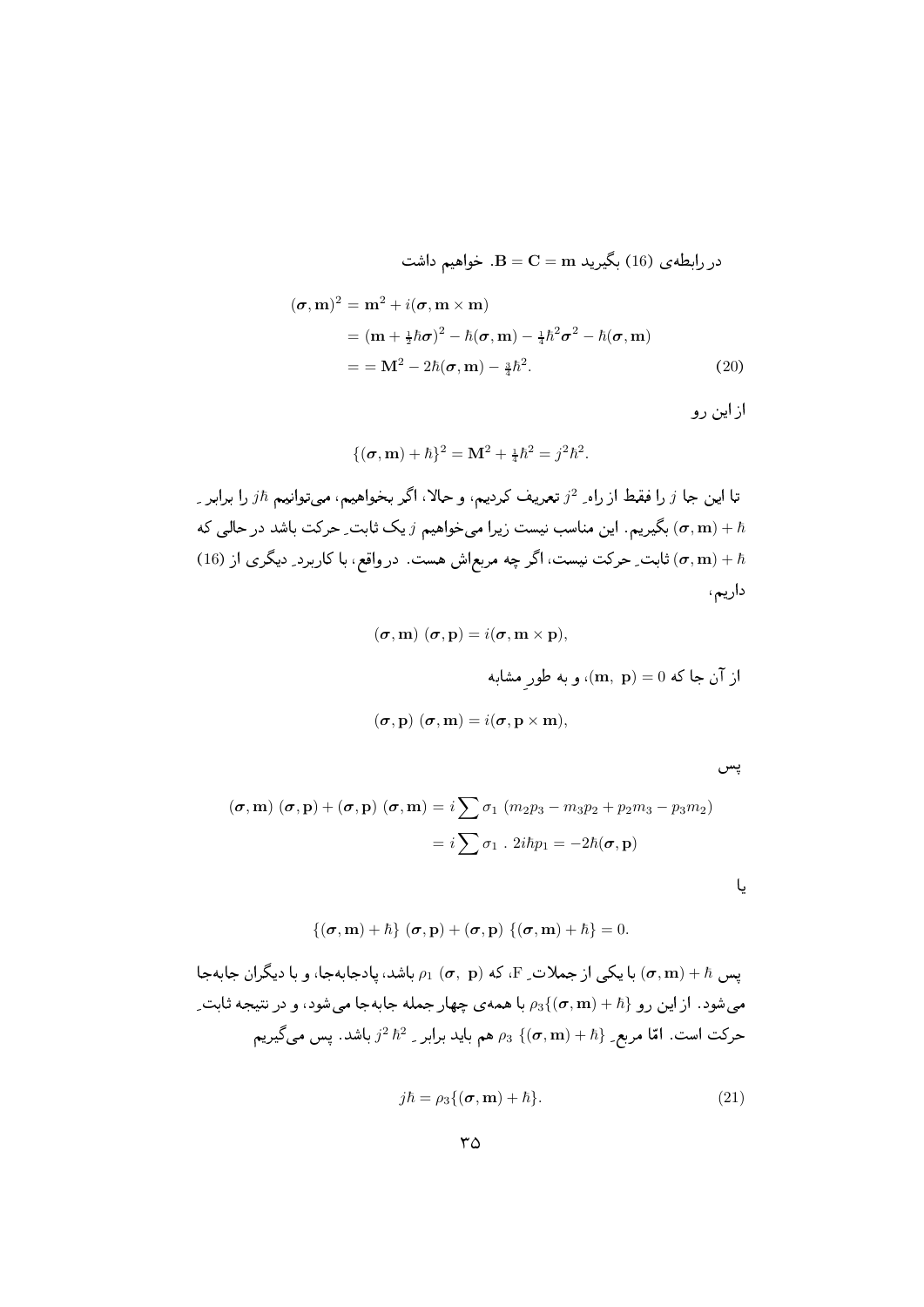در رابطەى (16) بگیرید 
$$
{\bf B} = {\bf C} = {\bf m}
$$
 بگیرید

$$
(\boldsymbol{\sigma}, \mathbf{m})^2 = \mathbf{m}^2 + i(\boldsymbol{\sigma}, \mathbf{m} \times \mathbf{m})
$$
  
=  $(\mathbf{m} + \frac{1}{2}\hbar\boldsymbol{\sigma})^2 - \hbar(\boldsymbol{\sigma}, \mathbf{m}) - \frac{1}{4}\hbar^2\boldsymbol{\sigma}^2 - \hbar(\boldsymbol{\sigma}, \mathbf{m})$   
=  $= \mathbf{M}^2 - 2\hbar(\boldsymbol{\sigma}, \mathbf{m}) - \frac{3}{4}\hbar^2.$  (20)

از این رو

$$
\{(\sigma, \mathbf{m}) + \hbar\}^2 = \mathbf{M}^2 + \frac{1}{4}\hbar^2 = j^2\hbar^2.
$$

تا این جا  $j$  را فقط از راه ِ  $j^2$  تعریف کردیم، و حالا، اگر بخواهیم، میتوانیم  $j\hbar$  را برابر ِ بگیریم. این مناسب نیست زیرا می خواهیم  $j$  یک ثابت ِ حرکت باشد در حالی که  $(\sigma, \mathbf{m}) + \hbar$ شابت ِ حركت نيست، اگر چه مربعاش هست. در واقع، با كاربرد ِ ديگري از (16) f) داریم،

$$
(\sigma, \mathbf{m}) (\sigma, \mathbf{p}) = i(\sigma, \mathbf{m} \times \mathbf{p}),
$$
  

$$
(\mathbf{m}, \mathbf{p}) = 0 \text{ as } (\mathbf{m}, \mathbf{p}) = 0
$$
 
$$
\text{or, } \mathbf{m} = \mathbf{m},
$$
  

$$
(\sigma, \mathbf{p}) (\sigma, \mathbf{m}) = i(\sigma, \mathbf{p} \times \mathbf{m}),
$$

پس

$$
(\boldsymbol{\sigma}, \mathbf{m}) (\boldsymbol{\sigma}, \mathbf{p}) + (\boldsymbol{\sigma}, \mathbf{p}) (\boldsymbol{\sigma}, \mathbf{m}) = i \sum \sigma_1 (m_2 p_3 - m_3 p_2 + p_2 m_3 - p_3 m_2)
$$
  
=  $i \sum \sigma_1 \cdot 2i\hbar p_1 = -2\hbar(\boldsymbol{\sigma}, \mathbf{p})$ 

 $\{(\sigma, \mathbf{m}) + \hbar\}$   $(\sigma, \mathbf{p}) + (\sigma, \mathbf{p})$   $\{(\sigma, \mathbf{m}) + \hbar\} = 0.$ 

بس  $\sigma, \mathbf{m}) + \hbar$  با یکی از جملات ِ F، که  $\rho_{1} \ (\boldsymbol{\sigma}, \ \mathbf{p})$  باشد، پادجابهجا، و با دیگران جابهجا به  $(\boldsymbol{\sigma}, \mathbf{m}) + \hbar$ میشود. از این رو  $\rho_3\{ (\bm \sigma, \mathbf m) + \bar n \}$  با همهی چهار جمله جابهجا میشود، و در نتیجه ثابت ِ حركت است. امّا مربع ِ $\{ (\bm \sigma,{\bf m}) + \hbar \}$  هم بايد برابر ِ  $\hbar^2$  باشد. پس ميگيريم

$$
j\hbar = \rho_3\{(\boldsymbol{\sigma}, \mathbf{m}) + \hbar\}.
$$
 (21)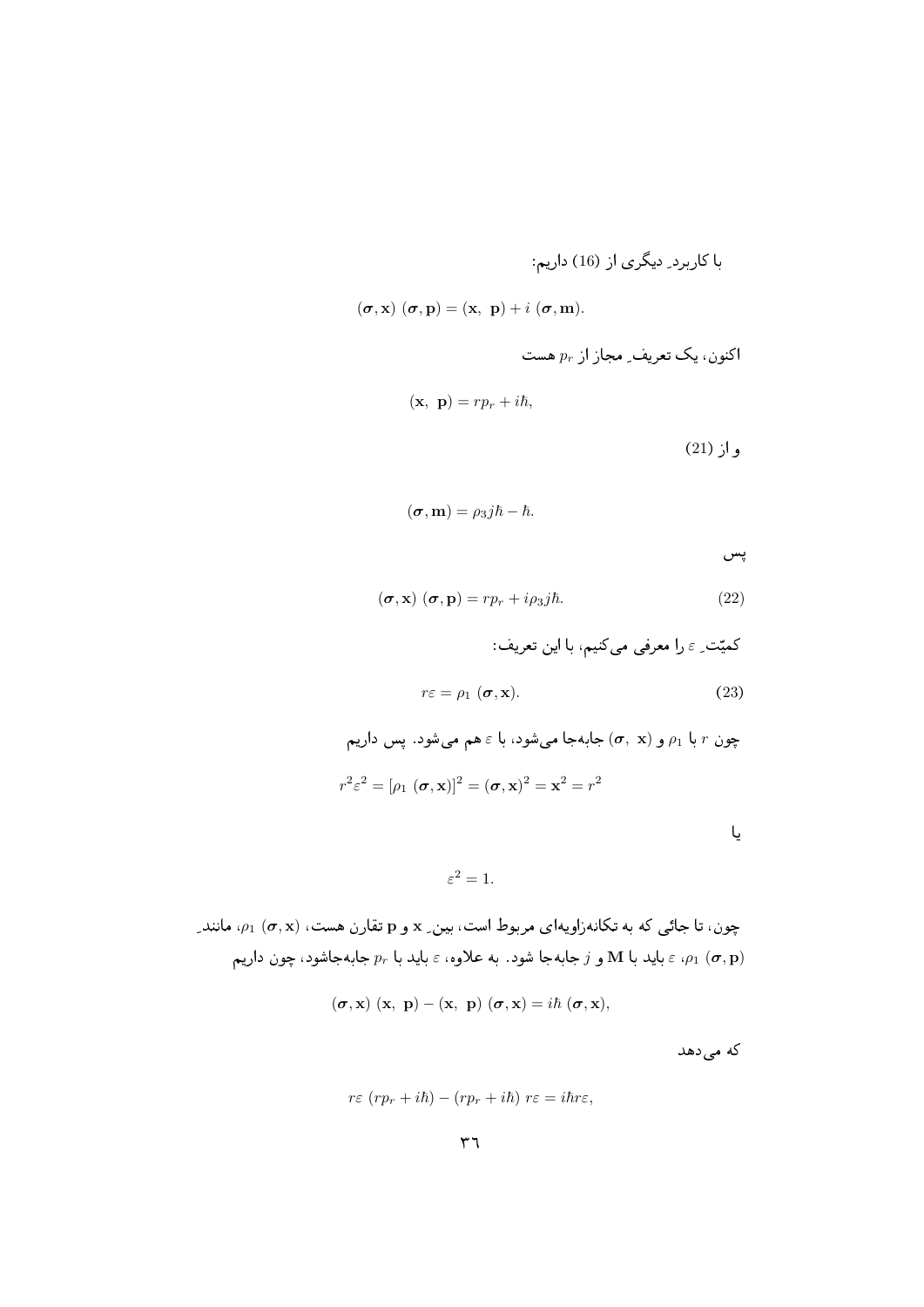$(\boldsymbol{\sigma}, \mathbf{x})$   $(\boldsymbol{\sigma}, \mathbf{p}) = (\mathbf{x}, \ \mathbf{p}) + i (\boldsymbol{\sigma}, \mathbf{m}).$ 

اکنون، یک تعریف\_ مجاز از 
$$
p_r
$$

$$
(\mathbf{x}, \ \mathbf{p}) = rp_r + i\hbar,
$$
\n(21)  $j$ 

$$
(\boldsymbol{\sigma},\mathbf{m})=\rho_3j\hbar-\hbar.
$$

پس

$$
(\boldsymbol{\sigma}, \mathbf{x}) (\boldsymbol{\sigma}, \mathbf{p}) = r p_r + i \rho_3 j \hbar. \tag{22}
$$

كميّت ِ ع را معرفي ميكنيم، با اين تعريف:

$$
r\varepsilon = \rho_1 \left( \boldsymbol{\sigma}, \mathbf{x} \right). \tag{23}
$$

جون 7 با 14 و (
$$
\sigma
$$
, x) جابمجا میشود، با 3 هم میشود. پس داریم  
\n
$$
r^2 \varepsilon^2 = [\rho_1 \ (\sigma, \mathbf{x})]^2 = (\sigma, \mathbf{x})^2 = \mathbf{x}^2 = r^2
$$

 $\varepsilon^2=1.$ 

چون، تا جائی که به تکانهزاویهای مربوط است، بین ِ x و p تقارن هست، (a, x) به انند ِ باید با M و  $j$  جابهجا شود. به علاوه،  $\varepsilon$  باید با  $p_r$  جابهجاشود، چون داریم  $\varepsilon$  باید با  $\epsilon$  ( $\sigma, {\bf p})$ 

$$
(\boldsymbol{\sigma},\mathbf{x})\ (\mathbf{x},\ \mathbf{p})-(\mathbf{x},\ \mathbf{p})\ (\boldsymbol{\sigma},\mathbf{x})=i\hbar\ (\boldsymbol{\sigma},\mathbf{x}),
$$

که می دهد

$$
r\varepsilon (rp_r + i\hbar) - (rp_r + i\hbar) r\varepsilon = i\hbar r\varepsilon,
$$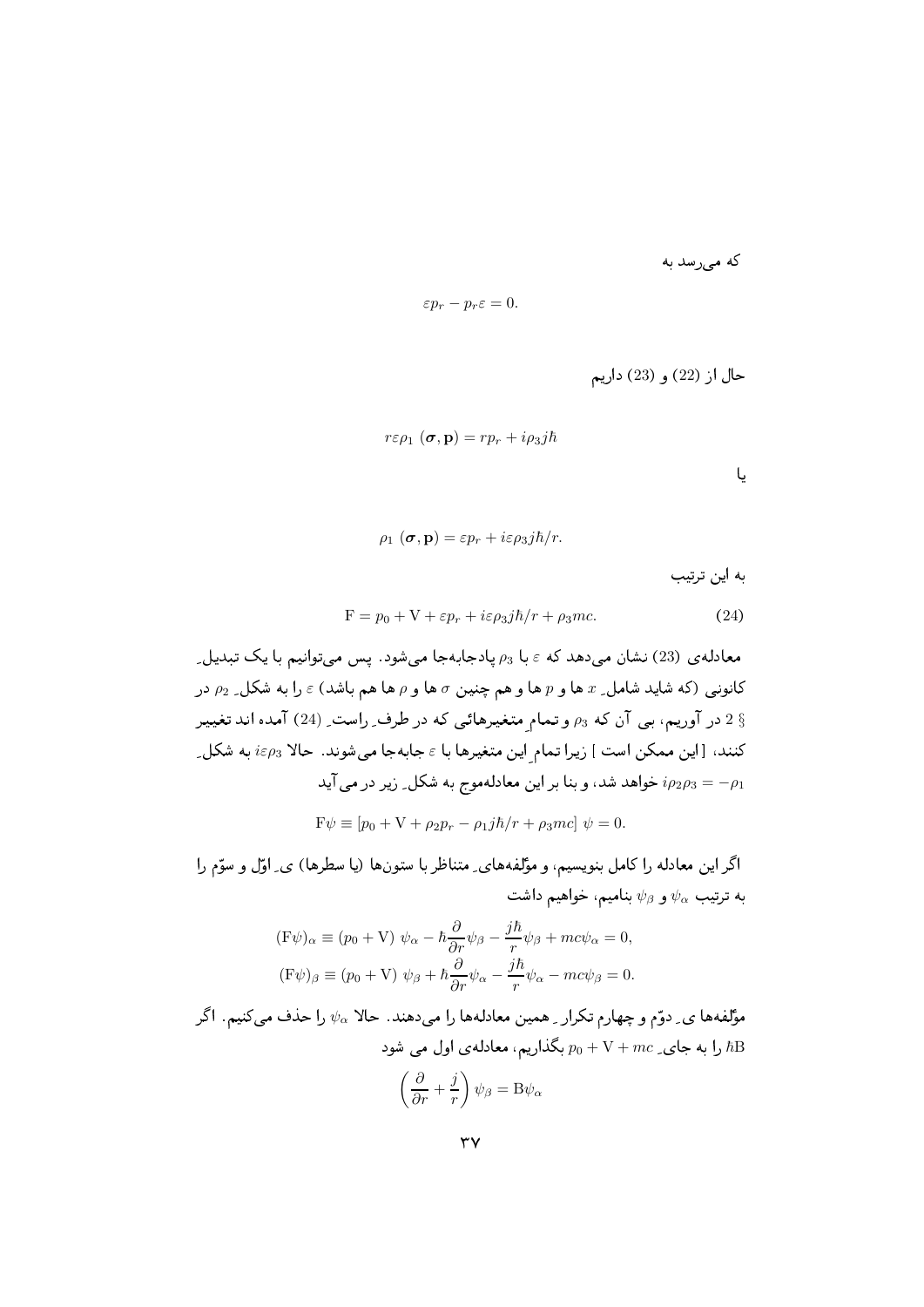که می رسد به

$$
\varepsilon p_r - p_r \varepsilon = 0.
$$

$$
r\varepsilon \rho_1 \left( \boldsymbol{\sigma}, \mathbf{p} \right) = r p_r + i \rho_3 j \hbar
$$

$$
\rho_1(\sigma, \mathbf{p}) = \varepsilon p_r + i\varepsilon \rho_3 j\hbar/r.
$$
 به این ترتیب

$$
F = p_0 + V + \varepsilon p_r + i\varepsilon \rho_3 j\hbar / r + \rho_3 mc. \tag{24}
$$

معادلمی (23) نشان میدهد که ۽ با 
$$
p_3
$$
 پادجابمجا میشود. پس میتوانیم با یک تبدیل۔  
کانونی (که شاید شامل\_ x ها و 7 ها و هم چنین 7ه او 7 ها هم باشد) ₃ را به شکل 2<sub>2</sub> در 2  
3 در آوریم، بی آن که  $p_3$  و تمام متغیرهائی که در طرف۔ راست۔ (24) آمده اند تغیبر  
کنند، [این ممکن است ] زیرا تمام این متغیرها با ₅ جابمجا میشوند. حالا  $i\epsilon\rho_3$  به شکل۔  
24 سو $i\epsilon\rho_3$  تواهد شد، و بنا براین معادلموج به شکل۔ زیر در می آید  
F4 = p0 + V + p<sub>2</sub>p<sub>r</sub> – p<sub>1</sub> jā/r + p<sub>3</sub>mc] 4

اگر این معادله را کامل بنویسیم، و مؤلفههای ِ متناظر با ستونها (یا سطرها) ی ِ اوّل و سوّم را به ترتیب  $\psi_{\alpha}$  و  $\psi_{\beta}$  بنامیم، خواهیم داشت

$$
(\mathbf{F}\psi)_{\alpha} \equiv (p_0 + \mathbf{V}) \ \psi_{\alpha} - \hbar \frac{\partial}{\partial r} \psi_{\beta} - \frac{j\hbar}{r} \psi_{\beta} + mc\psi_{\alpha} = 0,
$$
  
\n
$$
(\mathbf{F}\psi)_{\beta} \equiv (p_0 + \mathbf{V}) \ \psi_{\beta} + \hbar \frac{\partial}{\partial r} \psi_{\alpha} - \frac{j\hbar}{r} \psi_{\alpha} - mc\psi_{\beta} = 0.
$$

مؤلفهها ی ِ دوّم و چهارم تکرار ِ همین معادلهها را میدهند. حالا  $\psi_\alpha$  را حذف میکنیم. اگر را به جای ِ $mc \neq p_0 + \mathrm{V} + mc$  بگذاریم، معادله $\mathrm{d}$  اول می شود  $\mathrm{d} \mathrm{B}$  $\left(\frac{\partial}{\partial r}+\frac{j}{r}\right)\psi_{\beta} = \mathbf{B}\psi_{\alpha}$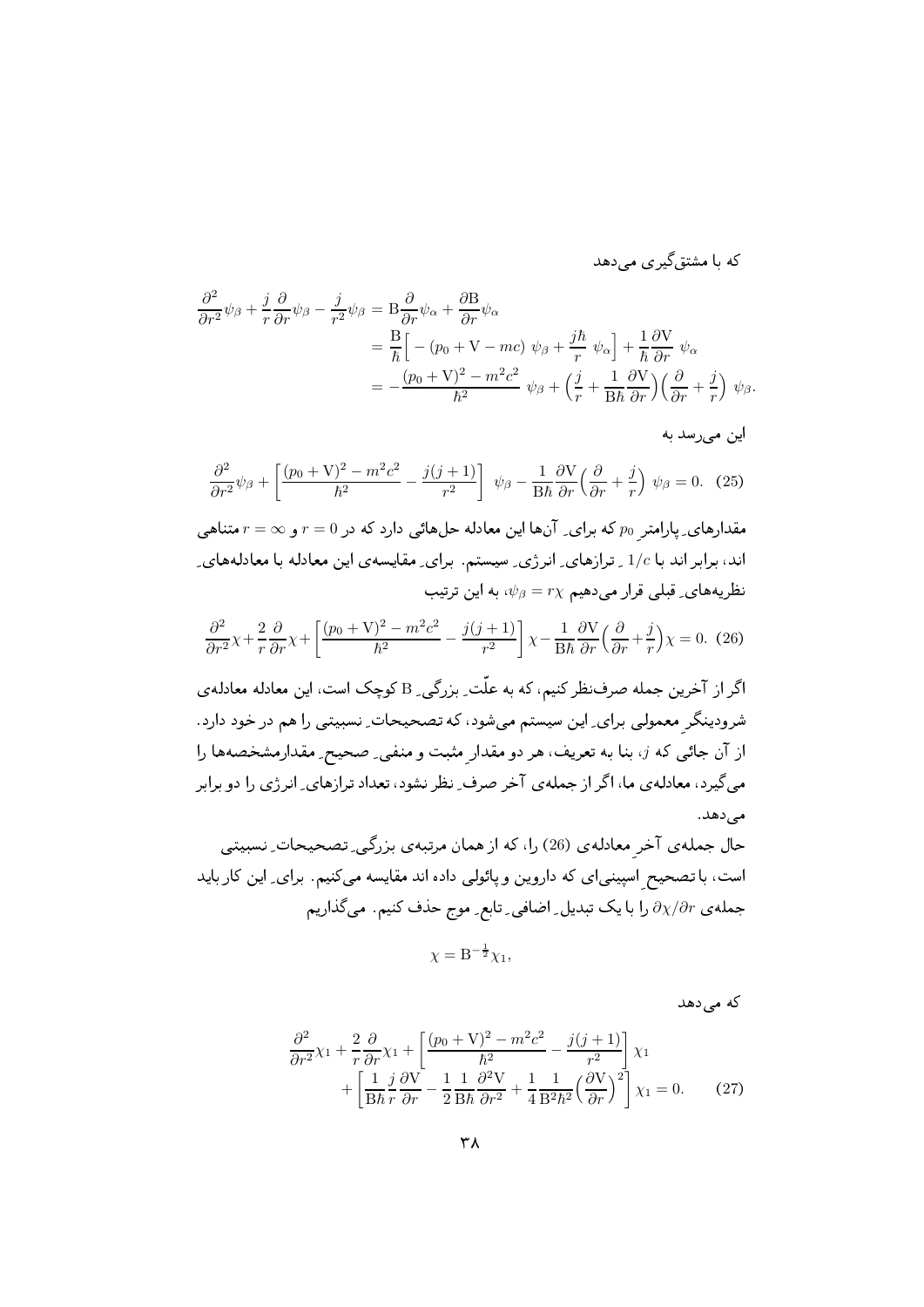که با مشتق گیر ی مے دهد

$$
\frac{\partial^2}{\partial r^2} \psi_\beta + \frac{j}{r} \frac{\partial}{\partial r} \psi_\beta - \frac{j}{r^2} \psi_\beta = B \frac{\partial}{\partial r} \psi_\alpha + \frac{\partial B}{\partial r} \psi_\alpha \n= \frac{B}{\hbar} \Big[ - (p_0 + \mathbf{V} - mc) \ \psi_\beta + \frac{j\hbar}{r} \ \psi_\alpha \Big] + \frac{1}{\hbar} \frac{\partial \mathbf{V}}{\partial r} \ \psi_\alpha \n= - \frac{(p_0 + \mathbf{V})^2 - m^2 c^2}{\hbar^2} \ \psi_\beta + \left(\frac{j}{r} + \frac{1}{B\hbar} \frac{\partial \mathbf{V}}{\partial r}\right) \left(\frac{\partial}{\partial r} + \frac{j}{r}\right) \ \psi_\beta.
$$

2

$$
\frac{\partial^2}{\partial r^2}\psi_\beta + \left[\frac{(p_0 + V)^2 - m^2c^2}{\hbar^2} - \frac{j(j+1)}{r^2}\right]\psi_\beta - \frac{1}{B\hbar}\frac{\partial V}{\partial r}\left(\frac{\partial}{\partial r} + \frac{j}{r}\right)\psi_\beta = 0. \tag{25}
$$

مقدارهای ِ پارامتر  $p_0$  که برای ِ انها این معادله حلهائی دارد که در  $r=0$  و  $r=\sigma$  متناهی اند، برابر اند با 1/c <sub>-</sub> ترازهای ِ انرژی ِ سیستم. برای ِ مقایسهی این معادله با معادلههای ِ نظریههای ِ قبلی قرار میدهیم  $r\chi$  =  $\psi_\beta$ ، به این ترتیب

$$
\frac{\partial^2}{\partial r^2} \chi + \frac{2}{r} \frac{\partial}{\partial r} \chi + \left[ \frac{(p_0 + V)^2 - m^2 c^2}{\hbar^2} - \frac{j(j+1)}{r^2} \right] \chi - \frac{1}{B\hbar} \frac{\partial V}{\partial r} \left( \frac{\partial}{\partial r} + \frac{j}{r} \right) \chi = 0. \tag{26}
$$

اگر از آخرین جمله صرف:ظر کنیم، که به علت ِ بزرگی ِ B کوچک است، این معادله معادلهی  $\gamma_1$  , and  $\gamma_2$  , and  $\gamma_3$  , and  $\gamma_4$  is the set of  $\gamma_5$  , and  $\gamma_6$  is the  $\gamma_7$ از آن جائی که  $j$ ، بنا به تعریف، هر دو مقدارِ مثبت و منفی ِ صحیح ِ مقدارمشخصهها را می گیرد، معادله ی ما، اگر از جمله ی آخر صرف ِ نظر نشود، تعداد ترازهای ِ انرژی را دو برابر \*2+-

حال جملهى آخرِ معادلهى (26) را، كه از همان مرتبهى بزرگى ِ تصحيحات ِ نسبيتى ل میں اس کے اپنے اپنے کا میں اس کے مطابق کر کرنے کی مقدم اس کے اس کے اس کے اس کے اس کے اس کے اس کے اس کے اس کے جمله $\partial \chi / \partial r$  را با یک تبدیل ِ اضافی ِ تابع ِ موج حذف کنیم. می گذاریم

$$
\chi = \mathbf{B}^{-\frac{1}{2}} \chi_1,
$$

 $2+1$ 

$$
\frac{\partial^2}{\partial r^2} \chi_1 + \frac{2}{r} \frac{\partial}{\partial r} \chi_1 + \left[ \frac{(p_0 + \mathbf{V})^2 - m^2 c^2}{\hbar^2} - \frac{j(j+1)}{r^2} \right] \chi_1 + \left[ \frac{1}{B\hbar} \frac{j}{r} \frac{\partial \mathbf{V}}{\partial r} - \frac{1}{2} \frac{1}{B\hbar} \frac{\partial^2 \mathbf{V}}{\partial r^2} + \frac{1}{4} \frac{1}{B^2 \hbar^2} \left( \frac{\partial \mathbf{V}}{\partial r} \right)^2 \right] \chi_1 = 0. \tag{27}
$$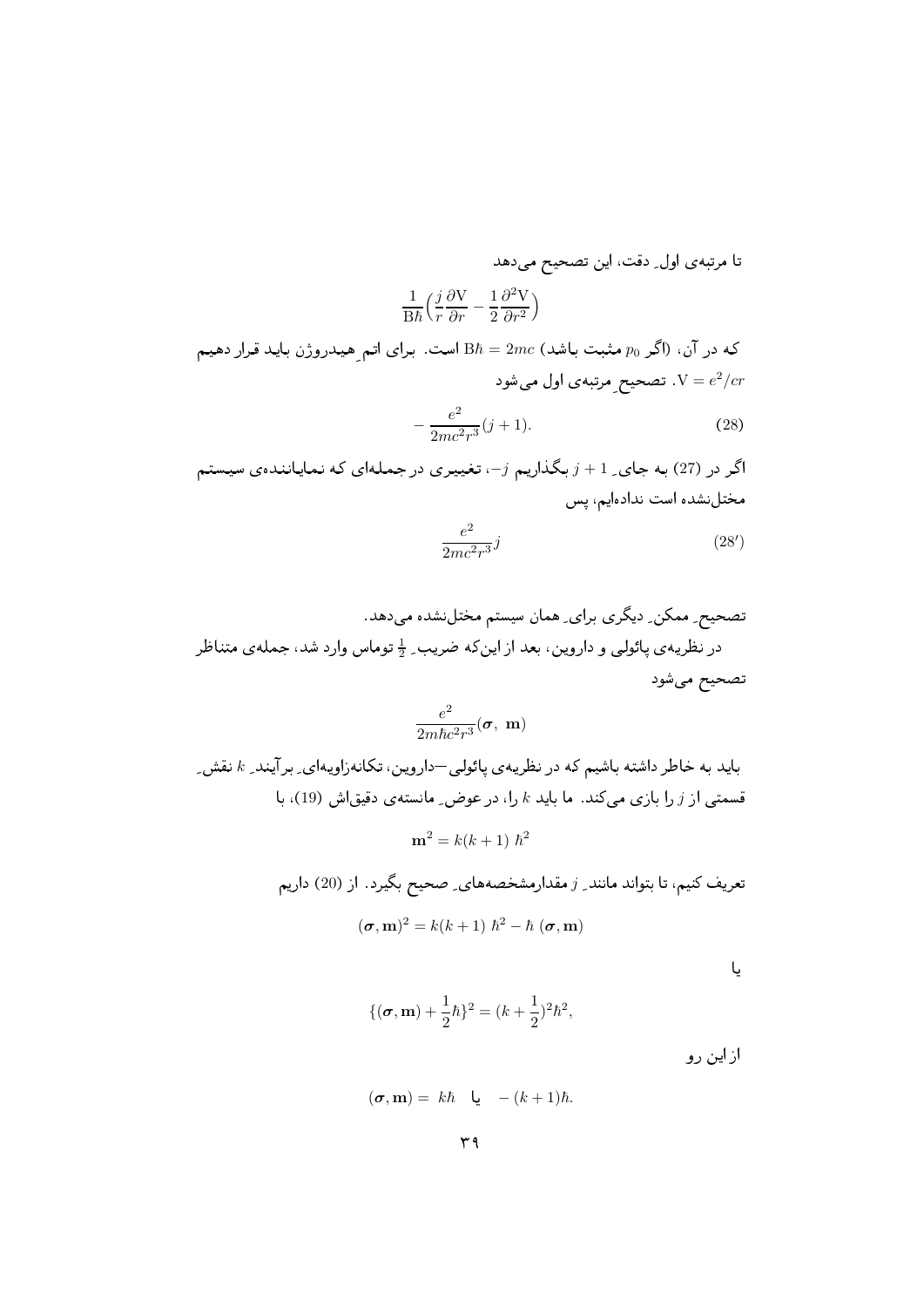تا مرتبهى اول ِ دقت، اين تصحيح مى دهد

$$
\frac{1}{\mathrm{B}\hbar}\Big(\frac{j}{r}\frac{\partial\mathrm{V}}{\partial r}-\frac{1}{2}\frac{\partial^2\mathrm{V}}{\partial r^2}\Big)
$$

که در آن، (اگر  $p_0$  مثبت باشد)  $2mc \neq B$  است. برای اتم هیدروژن باید قرار دهیم تصحیح مرتبهی اول می شود.  $\mathrm{V}=e^2/cr$ 

$$
-\frac{e^2}{2mc^2r^3}(j+1).
$$
 (28)

اگر در (27) به جای ِ 1 +  $j$  بگذاریم  $j$ ۰ تغییری در جملهای که نمایانندهی سیستم مختل نشده است ندادهایم، پس

$$
\frac{e^2}{2mc^2r^3}j\tag{28'}
$$

$$
\frac{e^2}{2m\hbar c^2 r^3}(\pmb{\sigma},~\mathbf{m})
$$

باید به خاطر داشته باشیم که در نظریهی پائولی —داروین، تکانهزاویهای ِ برآیند ِ & نقش ِ قسمتی از  $j$  را بازی میکند. ما باید  $k$  را، در عوض ِ مانسته ی دقیقاش (19)، با

$$
\mathbf{m}^2 = k(k+1) \; \hbar^2
$$

تعریف کنیم، تا بتواند مانند ِ ز مقدارمشخصههای ِ صحیح بگیرد. از (20) داریم

$$
(\boldsymbol{\sigma}, \mathbf{m})^2 = k(k+1) \; \hbar^2 - \hbar \; (\boldsymbol{\sigma}, \mathbf{m})
$$

یا

$$
\{(\sigma, \mathbf{m}) + \frac{1}{2}\hbar\}^2 = (k + \frac{1}{2})^2\hbar^2,
$$

از این رو

$$
(\boldsymbol{\sigma},\mathbf{m}) = k\hbar \quad \mathbf{u} \quad -(k+1)\hbar.
$$